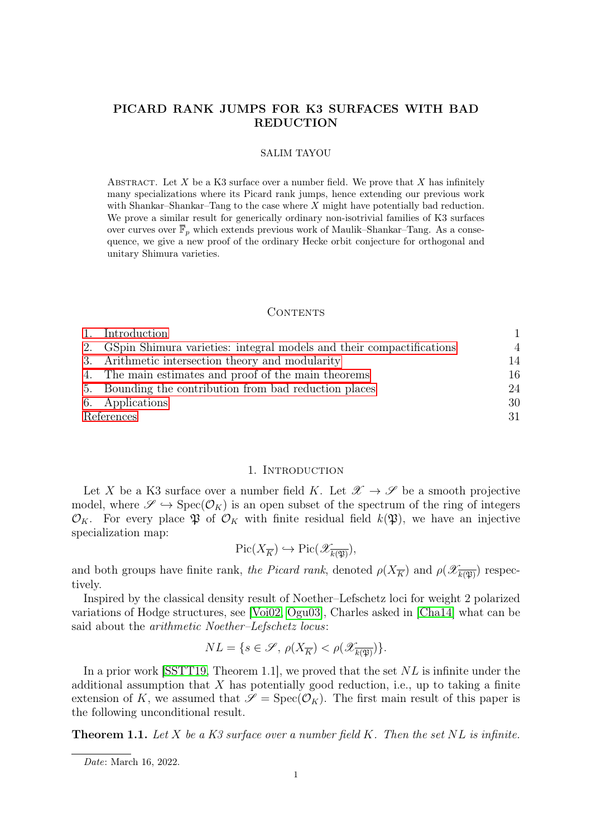# PICARD RANK JUMPS FOR K3 SURFACES WITH BAD REDUCTION

#### SALIM TAYOU

ABSTRACT. Let  $X$  be a K3 surface over a number field. We prove that  $X$  has infinitely many specializations where its Picard rank jumps, hence extending our previous work with Shankar–Shankar–Tang to the case where X might have potentially bad reduction. We prove a similar result for generically ordinary non-isotrivial families of K3 surfaces over curves over  $\mathbb{F}_p$  which extends previous work of Maulik–Shankar–Tang. As a consequence, we give a new proof of the ordinary Hecke orbit conjecture for orthogonal and unitary Shimura varieties.

### CONTENTS

|            | Introduction                                                            |                |
|------------|-------------------------------------------------------------------------|----------------|
|            | 2. GSpin Shimura varieties: integral models and their compactifications | $\overline{4}$ |
|            | 3. Arithmetic intersection theory and modularity                        | 14             |
|            | 4. The main estimates and proof of the main theorems                    | 16             |
|            | 5. Bounding the contribution from bad reduction places                  | 24             |
|            | 6. Applications                                                         | 30             |
| References |                                                                         | 31             |

## 1. INTRODUCTION

<span id="page-0-0"></span>Let X be a K3 surface over a number field K. Let  $\mathscr{X} \to \mathscr{S}$  be a smooth projective model, where  $\mathscr{S} \hookrightarrow \text{Spec}(\mathcal{O}_K)$  is an open subset of the spectrum of the ring of integers  $\mathcal{O}_K$ . For every place  $\mathfrak{P}$  of  $\mathcal{O}_K$  with finite residual field  $k(\mathfrak{P})$ , we have an injective specialization map:

$$
\mathrm{Pic}(X_{\overline{K}}) \hookrightarrow \mathrm{Pic}(\mathscr{X}_{\overline{k(\mathfrak{P})}}),
$$

and both groups have finite rank, the Picard rank, denoted  $\rho(X_{\overline{K}})$  and  $\rho(X_{\overline{k(\mathfrak{P})}})$  respectively.

Inspired by the classical density result of Noether–Lefschetz loci for weight 2 polarized variations of Hodge structures, see [\[Voi02,](#page-31-0) [Ogu03\]](#page-31-1), Charles asked in [\[Cha14\]](#page-30-1) what can be said about the arithmetic Noether–Lefschetz locus:

$$
NL = \{ s \in \mathcal{S}, \, \rho(X_{\overline{K}}) < \rho(\mathcal{X}_{\overline{k(\mathfrak{P})}}) \}.
$$

In a prior work [\[SSTT19,](#page-31-2) Theorem 1.1], we proved that the set  $NL$  is infinite under the additional assumption that  $X$  has potentially good reduction, i.e., up to taking a finite extension of K, we assumed that  $\mathscr{S} = \text{Spec}(\mathcal{O}_K)$ . The first main result of this paper is the following unconditional result.

<span id="page-0-1"></span>**Theorem 1.1.** Let  $X$  be a  $K3$  surface over a number field  $K$ . Then the set  $NL$  is infinite.

Date: March 16, 2022.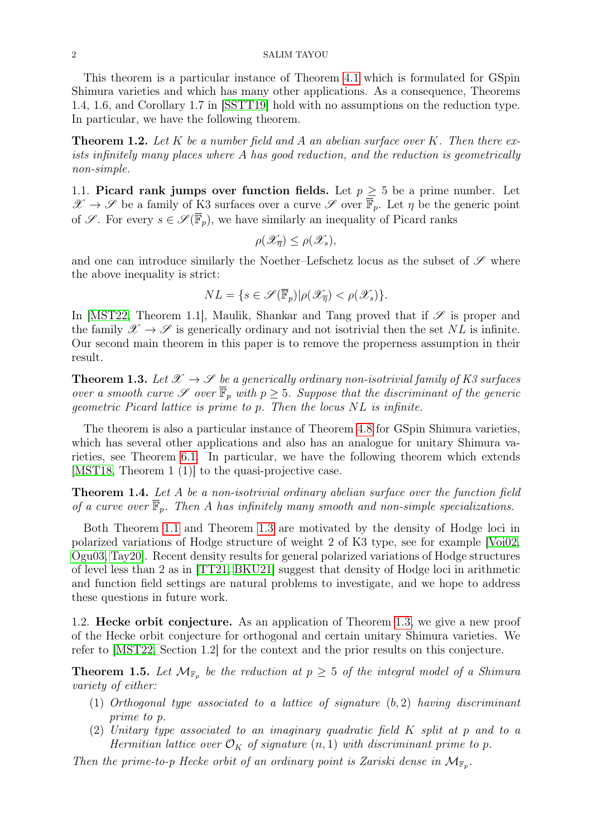This theorem is a particular instance of Theorem [4.1](#page-15-1) which is formulated for GSpin Shimura varieties and which has many other applications. As a consequence, Theorems 1.4, 1.6, and Corollary 1.7 in [\[SSTT19\]](#page-31-2) hold with no assumptions on the reduction type. In particular, we have the following theorem.

**Theorem 1.2.** Let K be a number field and A an abelian surface over K. Then there exists infinitely many places where A has good reduction, and the reduction is geometrically non-simple.

1.1. Picard rank jumps over function fields. Let  $p \geq 5$  be a prime number. Let  $\mathscr{X} \to \mathscr{S}$  be a family of K3 surfaces over a curve  $\mathscr{S}$  over  $\overline{\overline{\mathbb{F}}}_p$ . Let  $\eta$  be the generic point of  $\mathscr{S}$ . For every  $s \in \mathscr{S}(\overline{\mathbb{F}}_p)$ , we have similarly an inequality of Picard ranks

$$
\rho(\mathscr{X}_{\overline{\eta}}) \leq \rho(\mathscr{X}_s),
$$

and one can introduce similarly the Noether–Lefschetz locus as the subset of  $\mathscr S$  where the above inequality is strict:

$$
NL = \{ s \in \mathcal{S}(\overline{\mathbb{F}}_p) | \rho(\mathcal{X}_{\overline{\eta}}) < \rho(\mathcal{X}_s) \}.
$$

In [\[MST22,](#page-31-3) Theorem 1.1], Maulik, Shankar and Tang proved that if  $\mathscr S$  is proper and the family  $\mathscr{X} \to \mathscr{S}$  is generically ordinary and not isotrivial then the set NL is infinite. Our second main theorem in this paper is to remove the properness assumption in their result.

<span id="page-1-0"></span>**Theorem 1.3.** Let  $\mathcal{X} \to \mathcal{S}$  be a generically ordinary non-isotrivial family of K3 surfaces over a smooth curve  $\mathscr S$  over  $\overline{\mathbb F}_p$  with  $p \geq 5$ . Suppose that the discriminant of the generic geometric Picard lattice is prime to p. Then the locus NL is infinite.

The theorem is also a particular instance of Theorem [4.8](#page-18-0) for GSpin Shimura varieties, which has several other applications and also has an analogue for unitary Shimura varieties, see Theorem [6.1.](#page-30-2) In particular, we have the following theorem which extends [\[MST18,](#page-31-4) Theorem 1 (1)] to the quasi-projective case.

**Theorem 1.4.** Let A be a non-isotrivial ordinary abelian surface over the function field of a curve over  $\overline{\mathbb{F}}_p$ . Then A has infinitely many smooth and non-simple specializations.

Both Theorem [1.1](#page-0-1) and Theorem [1.3](#page-1-0) are motivated by the density of Hodge loci in polarized variations of Hodge structure of weight 2 of K3 type, see for example [\[Voi02,](#page-31-0) [Ogu03,](#page-31-1) [Tay20\]](#page-31-5). Recent density results for general polarized variations of Hodge structures of level less than 2 as in [\[TT21,](#page-31-6) [BKU21\]](#page-30-3) suggest that density of Hodge loci in arithmetic and function field settings are natural problems to investigate, and we hope to address these questions in future work.

1.2. Hecke orbit conjecture. As an application of Theorem [1.3,](#page-1-0) we give a new proof of the Hecke orbit conjecture for orthogonal and certain unitary Shimura varieties. We refer to [\[MST22,](#page-31-3) Section 1.2] for the context and the prior results on this conjecture.

<span id="page-1-1"></span>**Theorem 1.5.** Let  $\mathcal{M}_{\mathbb{F}_p}$  be the reduction at  $p \geq 5$  of the integral model of a Shimura variety of either:

- (1) Orthogonal type associated to a lattice of signature  $(b, 2)$  having discriminant prime to p.
- (2) Unitary type associated to an imaginary quadratic field K split at p and to a Hermitian lattice over  $\mathcal{O}_K$  of signature  $(n, 1)$  with discriminant prime to p.

Then the prime-to-p Hecke orbit of an ordinary point is Zariski dense in  $\mathcal{M}_{\mathbb{F}_p}$ .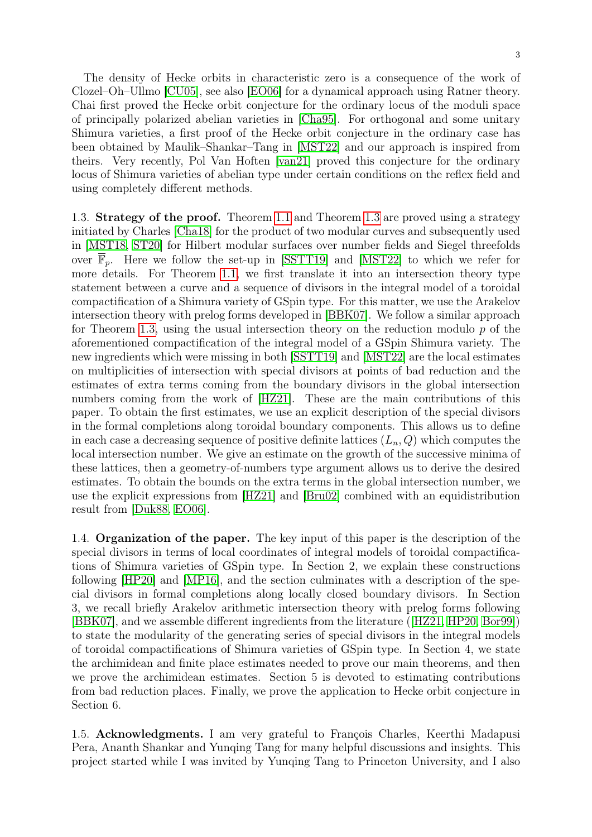The density of Hecke orbits in characteristic zero is a consequence of the work of Clozel–Oh–Ullmo [\[CU05\]](#page-30-4), see also [\[EO06\]](#page-31-7) for a dynamical approach using Ratner theory. Chai first proved the Hecke orbit conjecture for the ordinary locus of the moduli space of principally polarized abelian varieties in [\[Cha95\]](#page-30-5). For orthogonal and some unitary Shimura varieties, a first proof of the Hecke orbit conjecture in the ordinary case has been obtained by Maulik–Shankar–Tang in [\[MST22\]](#page-31-3) and our approach is inspired from theirs. Very recently, Pol Van Hoften [\[van21\]](#page-31-8) proved this conjecture for the ordinary locus of Shimura varieties of abelian type under certain conditions on the reflex field and using completely different methods.

1.3. Strategy of the proof. Theorem [1.1](#page-0-1) and Theorem [1.3](#page-1-0) are proved using a strategy initiated by Charles [\[Cha18\]](#page-30-6) for the product of two modular curves and subsequently used in [\[MST18,](#page-31-4) [ST20\]](#page-31-9) for Hilbert modular surfaces over number fields and Siegel threefolds over  $\mathbb{F}_p$ . Here we follow the set-up in [\[SSTT19\]](#page-31-2) and [\[MST22\]](#page-31-3) to which we refer for more details. For Theorem [1.1,](#page-0-1) we first translate it into an intersection theory type statement between a curve and a sequence of divisors in the integral model of a toroidal compactification of a Shimura variety of GSpin type. For this matter, we use the Arakelov intersection theory with prelog forms developed in [\[BBK07\]](#page-30-7). We follow a similar approach for Theorem [1.3,](#page-1-0) using the usual intersection theory on the reduction modulo  $p$  of the aforementioned compactification of the integral model of a GSpin Shimura variety. The new ingredients which were missing in both [\[SSTT19\]](#page-31-2) and [\[MST22\]](#page-31-3) are the local estimates on multiplicities of intersection with special divisors at points of bad reduction and the estimates of extra terms coming from the boundary divisors in the global intersection numbers coming from the work of [\[HZ21\]](#page-31-10). These are the main contributions of this paper. To obtain the first estimates, we use an explicit description of the special divisors in the formal completions along toroidal boundary components. This allows us to define in each case a decreasing sequence of positive definite lattices  $(L_n, Q)$  which computes the local intersection number. We give an estimate on the growth of the successive minima of these lattices, then a geometry-of-numbers type argument allows us to derive the desired estimates. To obtain the bounds on the extra terms in the global intersection number, we use the explicit expressions from [\[HZ21\]](#page-31-10) and [\[Bru02\]](#page-30-8) combined with an equidistribution result from [\[Duk88,](#page-30-9) [EO06\]](#page-31-7).

1.4. Organization of the paper. The key input of this paper is the description of the special divisors in terms of local coordinates of integral models of toroidal compactifications of Shimura varieties of GSpin type. In Section 2, we explain these constructions following [\[HP20\]](#page-31-11) and [\[MP16\]](#page-31-12), and the section culminates with a description of the special divisors in formal completions along locally closed boundary divisors. In Section 3, we recall briefly Arakelov arithmetic intersection theory with prelog forms following [\[BBK07\]](#page-30-7), and we assemble different ingredients from the literature ([\[HZ21,](#page-31-10) [HP20,](#page-31-11) [Bor99\]](#page-30-10)) to state the modularity of the generating series of special divisors in the integral models of toroidal compactifications of Shimura varieties of GSpin type. In Section 4, we state the archimidean and finite place estimates needed to prove our main theorems, and then we prove the archimidean estimates. Section 5 is devoted to estimating contributions from bad reduction places. Finally, we prove the application to Hecke orbit conjecture in Section 6.

1.5. Acknowledgments. I am very grateful to François Charles, Keerthi Madapusi Pera, Ananth Shankar and Yunqing Tang for many helpful discussions and insights. This project started while I was invited by Yunqing Tang to Princeton University, and I also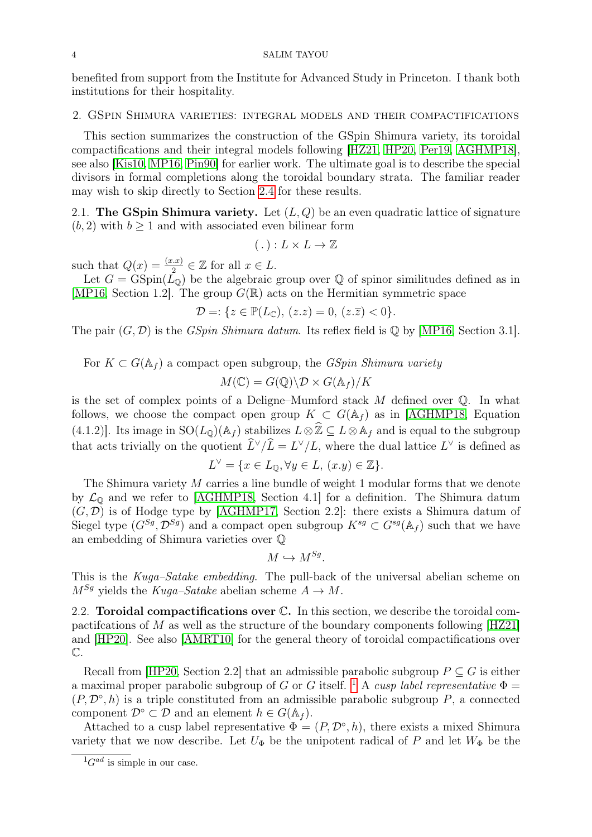benefited from support from the Institute for Advanced Study in Princeton. I thank both institutions for their hospitality.

### <span id="page-3-0"></span>2. GSpin Shimura varieties: integral models and their compactifications

This section summarizes the construction of the GSpin Shimura variety, its toroidal compactifications and their integral models following [\[HZ21,](#page-31-10) [HP20,](#page-31-11) [Per19,](#page-31-13) [AGHMP18\]](#page-30-11), see also [\[Kis10,](#page-31-14) [MP16,](#page-31-12) [Pin90\]](#page-31-15) for earlier work. The ultimate goal is to describe the special divisors in formal completions along the toroidal boundary strata. The familiar reader may wish to skip directly to Section [2.4](#page-10-0) for these results.

<span id="page-3-2"></span>2.1. The GSpin Shimura variety. Let  $(L, Q)$  be an even quadratic lattice of signature  $(b, 2)$  with  $b > 1$  and with associated even bilinear form

$$
(.) : L \times L \to \mathbb{Z}
$$

such that  $Q(x) = \frac{(x.x)}{2} \in \mathbb{Z}$  for all  $x \in L$ .

Let  $G = \text{GSpin}(\tilde{L}_{\mathbb{Q}})$  be the algebraic group over  $\mathbb Q$  of spinor similitudes defined as in [\[MP16,](#page-31-12) Section 1.2]. The group  $G(\mathbb{R})$  acts on the Hermitian symmetric space

$$
\mathcal{D} =: \{ z \in \mathbb{P}(L_{\mathbb{C}}), (z.z) = 0, (z.\overline{z}) < 0 \}.
$$

The pair  $(G, \mathcal{D})$  is the *GSpin Shimura datum*. Its reflex field is  $\mathbb Q$  by [\[MP16,](#page-31-12) Section 3.1].

For  $K \subset G(\mathbb{A}_f)$  a compact open subgroup, the *GSpin Shimura variety* 

$$
M(\mathbb{C}) = G(\mathbb{Q}) \backslash \mathcal{D} \times G(\mathbb{A}_f) / K
$$

is the set of complex points of a Deligne–Mumford stack  $M$  defined over  $\mathbb{Q}$ . In what follows, we choose the compact open group  $K \subset G(\mathbb{A}_f)$  as in [\[AGHMP18,](#page-30-11) Equation (4.1.2)]. Its image in  $SO(L_0)(A_f)$  stabilizes  $L\otimes \hat{\mathbb{Z}} \subseteq L\otimes A_f$  and is equal to the subgroup that acts trivially on the quotient  $\hat{L}^{\vee}/\hat{L} = L^{\vee}/L$ , where the dual lattice  $L^{\vee}$  is defined as

$$
L^{\vee} = \{ x \in L_0, \forall y \in L, (x.y) \in \mathbb{Z} \}.
$$

The Shimura variety M carries a line bundle of weight 1 modular forms that we denote by  $\mathcal{L}_{\mathbb{Q}}$  and we refer to [\[AGHMP18,](#page-30-11) Section 4.1] for a definition. The Shimura datum  $(G, \mathcal{D})$  is of Hodge type by [\[AGHMP17,](#page-30-12) Section 2.2]: there exists a Shimura datum of Siegel type  $(G^{Sg}, \mathcal{D}^{Sg})$  and a compact open subgroup  $K^{sg} \subset G^{sg}(\mathbb{A}_f)$  such that we have an embedding of Shimura varieties over Q

$$
M \hookrightarrow M^{Sg}.
$$

This is the Kuga–Satake embedding. The pull-back of the universal abelian scheme on  $M^{Sg}$  yields the Kuga–Satake abelian scheme  $A \to M$ .

2.2. **Toroidal compactifications over**  $\mathbb{C}$ **.** In this section, we describe the toroidal compactifications of M as well as the structure of the boundary components following  $[HZ21]$ and [\[HP20\]](#page-31-11). See also [\[AMRT10\]](#page-30-13) for the general theory of toroidal compactifications over  $\mathbb{C}.$ 

Recall from [\[HP20,](#page-31-11) Section 2.2] that an admissible parabolic subgroup  $P \subseteq G$  is either a maximal proper parabolic subgroup of G or G itself. <sup>[1](#page-3-1)</sup> A cusp label representative  $\Phi =$  $(P, \mathcal{D}^{\circ}, h)$  is a triple constituted from an admissible parabolic subgroup P, a connected component  $\mathcal{D}^{\circ} \subset \mathcal{D}$  and an element  $h \in G(\mathbb{A}_f)$ .

Attached to a cusp label representative  $\Phi = (P, \mathcal{D}^{\circ}, h)$ , there exists a mixed Shimura variety that we now describe. Let  $U_{\Phi}$  be the unipotent radical of P and let  $W_{\Phi}$  be the

<span id="page-3-1"></span> ${}^{1}G^{ad}$  is simple in our case.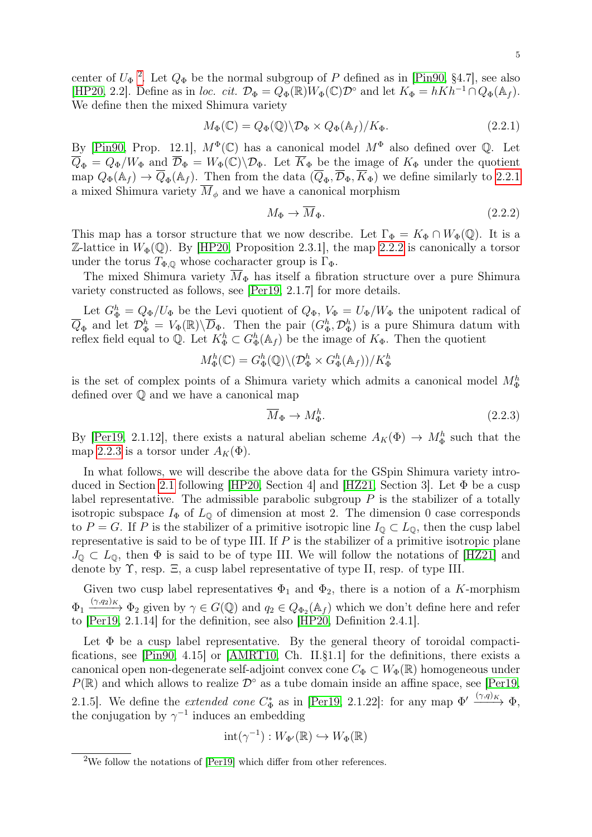center of  $U_{\Phi}$ <sup>[2](#page-4-0)</sup>. Let  $Q_{\Phi}$  be the normal subgroup of P defined as in [\[Pin90,](#page-31-15) §4.7], see also [\[HP20,](#page-31-11) 2.2]. Define as in loc. cit.  $\mathcal{D}_{\Phi} = Q_{\Phi}(\mathbb{R})W_{\Phi}(\mathbb{C})\mathcal{D}^{\circ}$  and let  $K_{\Phi} = hKh^{-1} \cap Q_{\Phi}(\mathbb{A}_f)$ . We define then the mixed Shimura variety

$$
M_{\Phi}(\mathbb{C}) = Q_{\Phi}(\mathbb{Q}) \backslash \mathcal{D}_{\Phi} \times Q_{\Phi}(\mathbb{A}_{f}) / K_{\Phi}.
$$
 (2.2.1)

By [\[Pin90,](#page-31-15) Prop. 12.1],  $M^{\Phi}(\mathbb{C})$  has a canonical model  $M^{\Phi}$  also defined over  $\mathbb{Q}$ . Let  $\overline{Q}_{\Phi} = Q_{\Phi}/W_{\Phi}$  and  $\overline{\mathcal{D}}_{\Phi} = W_{\Phi}(\mathbb{C})\backslash\mathcal{D}_{\Phi}$ . Let  $\overline{K}_{\Phi}$  be the image of  $K_{\Phi}$  under the quotient map  $Q_{\Phi}(\mathbb{A}_f) \to \overline{Q}_{\Phi}(\mathbb{A}_f)$ . Then from the data  $(\overline{Q}_{\Phi}, \overline{\mathcal{D}}_{\Phi}, \overline{K}_{\Phi})$  we define similarly to [2.2.1](#page-4-1) a mixed Shimura variety  $\overline{M}_{\phi}$  and we have a canonical morphism

<span id="page-4-2"></span><span id="page-4-1"></span>
$$
M_{\Phi} \to \overline{M}_{\Phi}.\tag{2.2.2}
$$

This map has a torsor structure that we now describe. Let  $\Gamma_{\Phi} = K_{\Phi} \cap W_{\Phi}(\mathbb{Q})$ . It is a Z-lattice in  $W_{\Phi}(\mathbb{Q})$ . By [\[HP20,](#page-31-11) Proposition 2.3.1], the map [2.2.2](#page-4-2) is canonically a torsor under the torus  $T_{\Phi,\mathbb{Q}}$  whose cocharacter group is  $\Gamma_{\Phi}$ .

The mixed Shimura variety  $\overline{M}_{\Phi}$  has itself a fibration structure over a pure Shimura variety constructed as follows, see [\[Per19,](#page-31-13) 2.1.7] for more details.

Let  $G_{\Phi}^{h} = Q_{\Phi}/U_{\Phi}$  be the Levi quotient of  $Q_{\Phi}$ ,  $V_{\Phi} = U_{\Phi}/W_{\Phi}$  the unipotent radical of  $\overline{Q}_{\Phi}$  and let  $\mathcal{D}_{\Phi}^h = V_{\Phi}(\mathbb{R}) \setminus \overline{D}_{\Phi}$ . Then the pair  $(G_{\Phi}^h, \mathcal{D}_{\Phi}^h)$  is a pure Shimura datum with reflex field equal to  $\mathbb{Q}$ . Let  $K_{\Phi}^h \subset G_{\Phi}^h(\mathbb{A}_f)$  be the image of  $K_{\Phi}$ . Then the quotient

$$
M_{\Phi}^{h}(\mathbb{C}) = G_{\Phi}^{h}(\mathbb{Q}) \backslash (\mathcal{D}_{\Phi}^{h} \times G_{\Phi}^{h}(\mathbb{A}_{f})) / K_{\Phi}^{h}
$$

is the set of complex points of a Shimura variety which admits a canonical model  $M_{\Phi}^h$ defined over Q and we have a canonical map

<span id="page-4-3"></span>
$$
\overline{M}_{\Phi} \to M_{\Phi}^h. \tag{2.2.3}
$$

By [\[Per19,](#page-31-13) 2.1.12], there exists a natural abelian scheme  $A_K(\Phi) \to M_{\Phi}^h$  such that the map [2.2.3](#page-4-3) is a torsor under  $A_K(\Phi)$ .

In what follows, we will describe the above data for the GSpin Shimura variety introduced in Section [2.1](#page-3-2) following [\[HP20,](#page-31-11) Section 4] and [\[HZ21,](#page-31-10) Section 3]. Let Φ be a cusp label representative. The admissible parabolic subgroup  $P$  is the stabilizer of a totally isotropic subspace  $I_{\Phi}$  of  $L_{\mathbb{Q}}$  of dimension at most 2. The dimension 0 case corresponds to P = G. If P is the stabilizer of a primitive isotropic line  $I_{\mathbb{Q}} \subset L_{\mathbb{Q}}$ , then the cusp label representative is said to be of type III. If  $P$  is the stabilizer of a primitive isotropic plane  $J_{\mathbb{Q}} \subset L_{\mathbb{Q}}$ , then  $\Phi$  is said to be of type III. We will follow the notations of [\[HZ21\]](#page-31-10) and denote by Υ, resp. Ξ, a cusp label representative of type II, resp. of type III.

Given two cusp label representatives  $\Phi_1$  and  $\Phi_2$ , there is a notion of a K-morphism  $\Phi_1 \xrightarrow{(\gamma,q_2)_K} \Phi_2$  given by  $\gamma \in G(\mathbb{Q})$  and  $q_2 \in Q_{\Phi_2}(\mathbb{A}_f)$  which we don't define here and refer to [\[Per19,](#page-31-13) 2.1.14] for the definition, see also [\[HP20,](#page-31-11) Definition 2.4.1].

Let  $\Phi$  be a cusp label representative. By the general theory of toroidal compactifications, see [\[Pin90,](#page-31-15) 4.15] or [\[AMRT10,](#page-30-13) Ch. II.§1.1] for the definitions, there exists a canonical open non-degenerate self-adjoint convex cone  $C_{\Phi} \subset W_{\Phi}(\mathbb{R})$  homogeneous under  $P(\mathbb{R})$  and which allows to realize  $\mathcal{D}^{\circ}$  as a tube domain inside an affine space, see [\[Per19,](#page-31-13) 2.1.5]. We define the *extended cone*  $C^*_{\Phi}$  as in [\[Per19,](#page-31-13) 2.1.22]: for any map  $\Phi' \xrightarrow{(\gamma,q)_K} \Phi$ , the conjugation by  $\gamma^{-1}$  induces an embedding

$$
\mathrm{int}(\gamma^{-1}): W_{\Phi'}(\mathbb{R}) \hookrightarrow W_{\Phi}(\mathbb{R})
$$

<span id="page-4-0"></span><sup>2</sup>We follow the notations of [\[Per19\]](#page-31-13) which differ from other references.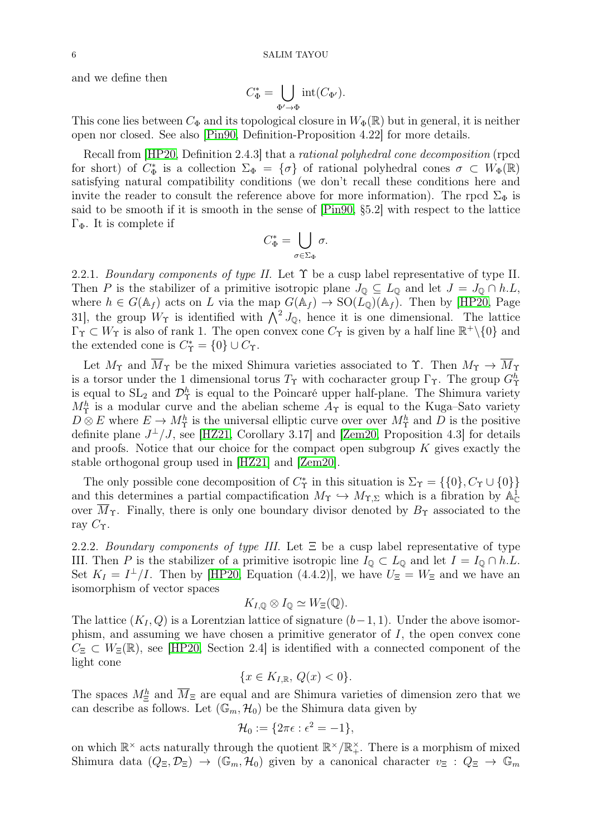and we define then

$$
C_{\Phi}^* = \bigcup_{\Phi' \to \Phi} \text{int}(C_{\Phi'}).
$$

This cone lies between  $C_{\Phi}$  and its topological closure in  $W_{\Phi}(\mathbb{R})$  but in general, it is neither open nor closed. See also [\[Pin90,](#page-31-15) Definition-Proposition 4.22] for more details.

Recall from [\[HP20,](#page-31-11) Definition 2.4.3] that a rational polyhedral cone decomposition (rpcd for short) of  $C_{\Phi}^*$  is a collection  $\Sigma_{\Phi} = {\sigma}$  of rational polyhedral cones  $\sigma \subset W_{\Phi}(\mathbb{R})$ satisfying natural compatibility conditions (we don't recall these conditions here and invite the reader to consult the reference above for more information). The rpcd  $\Sigma_{\Phi}$  is said to be smooth if it is smooth in the sense of [\[Pin90,](#page-31-15) §5.2] with respect to the lattice Γ<sub>Φ</sub>. It is complete if

$$
C_{\Phi}^* = \bigcup_{\sigma \in \Sigma_{\Phi}} \sigma.
$$

<span id="page-5-0"></span>2.2.1. Boundary components of type II. Let  $\Upsilon$  be a cusp label representative of type II. Then P is the stabilizer of a primitive isotropic plane  $J_0 \subseteq L_0$  and let  $J = J_0 \cap h.L$ , where  $h \in G(\mathbb{A}_f)$  acts on L via the map  $G(\mathbb{A}_f) \to SO(L_0)(\mathbb{A}_f)$ . Then by [\[HP20,](#page-31-11) Page 31], the group  $W_{\Upsilon}$  is identified with  $\bigwedge^2 J_{\mathbb{Q}}$ , hence it is one dimensional. The lattice  $\Gamma_{\Upsilon} \subset W_{\Upsilon}$  is also of rank 1. The open convex cone  $C_{\Upsilon}$  is given by a half line  $\mathbb{R}^+\setminus\{0\}$  and the extended cone is  $C^*_{\Upsilon} = \{0\} \cup C_{\Upsilon}$ .

Let  $M_{\Upsilon}$  and  $\overline{M}_{\Upsilon}$  be the mixed Shimura varieties associated to  $\Upsilon$ . Then  $M_{\Upsilon} \to \overline{M}_{\Upsilon}$ is a torsor under the 1 dimensional torus  $T_{\Upsilon}$  with cocharacter group  $\Gamma_{\Upsilon}$ . The group  $G_{\Upsilon}^h$ is equal to  $SL_2$  and  $\mathcal{D}^h_{\Upsilon}$  is equal to the Poincaré upper half-plane. The Shimura variety  $M_{\Upsilon}^{h}$  is a modular curve and the abelian scheme  $A_{\Upsilon}$  is equal to the Kuga–Sato variety  $D \otimes E$  where  $E \to M_{\Upsilon}^h$  is the universal elliptic curve over over  $M_{\Upsilon}^h$  and  $D$  is the positive definite plane  $J^{\perp}/J$ , see [\[HZ21,](#page-31-10) Corollary 3.17] and [\[Zem20,](#page-31-16) Proposition 4.3] for details and proofs. Notice that our choice for the compact open subgroup  $K$  gives exactly the stable orthogonal group used in [\[HZ21\]](#page-31-10) and [\[Zem20\]](#page-31-16).

The only possible cone decomposition of  $C^*$  in this situation is  $\Sigma_{\Upsilon} = \{\{0\}, C_{\Upsilon} \cup \{0\}\}\$ and this determines a partial compactification  $M_{\Upsilon} \hookrightarrow M_{\Upsilon,\Sigma}$  which is a fibration by  $\mathbb{A}_{\mathbb{C}}^{\mathbb{I}}$ over  $M_{\Upsilon}$ . Finally, there is only one boundary divisor denoted by  $B_{\Upsilon}$  associated to the ray  $C_{\Upsilon}$ .

<span id="page-5-1"></span>2.2.2. Boundary components of type III. Let  $\Xi$  be a cusp label representative of type III. Then P is the stabilizer of a primitive isotropic line  $I_{\mathbb{Q}} \subset L_{\mathbb{Q}}$  and let  $I = I_{\mathbb{Q}} \cap h.L$ . Set  $K_I = I^{\perp}/I$ . Then by [\[HP20,](#page-31-11) Equation (4.4.2)], we have  $U_{\Xi} = W_{\Xi}$  and we have an isomorphism of vector spaces

$$
K_{I,\mathbb{Q}} \otimes I_{\mathbb{Q}} \simeq W_{\Xi}(\mathbb{Q}).
$$

The lattice  $(K_I, Q)$  is a Lorentzian lattice of signature  $(b-1, 1)$ . Under the above isomorphism, and assuming we have chosen a primitive generator of  $I$ , the open convex cone  $C_{\Xi} \subset W_{\Xi}(\mathbb{R})$ , see [\[HP20,](#page-31-11) Section 2.4] is identified with a connected component of the light cone

$$
\{x \in K_{I,\mathbb{R}}, \, Q(x) < 0\}.
$$

The spaces  $M^h_{\Xi}$  and  $\overline{M}_{\Xi}$  are equal and are Shimura varieties of dimension zero that we can describe as follows. Let  $(\mathbb{G}_m, \mathcal{H}_0)$  be the Shimura data given by

$$
\mathcal{H}_0 := \{2\pi\epsilon : \epsilon^2 = -1\},\
$$

on which  $\mathbb{R}^{\times}$  acts naturally through the quotient  $\mathbb{R}^{\times}/\mathbb{R}^{\times}$ . There is a morphism of mixed Shimura data  $(Q_{\Xi}, \mathcal{D}_{\Xi}) \rightarrow (\mathbb{G}_m, \mathcal{H}_0)$  given by a canonical character  $v_{\Xi}: Q_{\Xi} \rightarrow \mathbb{G}_m$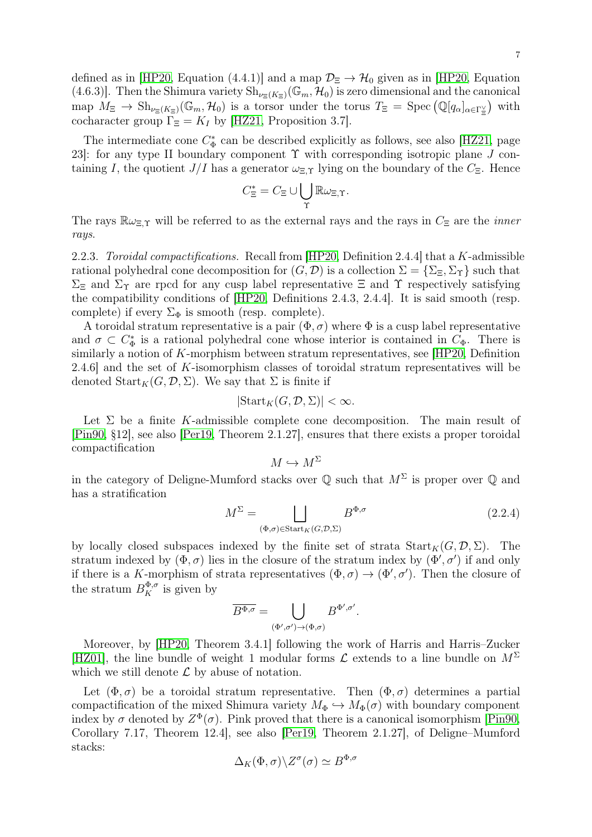7

defined as in [\[HP20,](#page-31-11) Equation (4.4.1)] and a map  $\mathcal{D}_{\Xi} \to \mathcal{H}_0$  given as in [HP20, Equation (4.6.3)]. Then the Shimura variety  $\text{Sh}_{\nu \in (K_{\Xi})}(\mathbb{G}_m, \mathcal{H}_0)$  is zero dimensional and the canonical map  $M_{\Xi} \to Sh_{\nu_{\Xi}(K_{\Xi})}(\mathbb{G}_m, \mathcal{H}_0)$  is a torsor under the torus  $T_{\Xi} = \text{Spec}(\mathbb{Q}[q_{\alpha}]_{\alpha \in \Gamma_{\Xi}^{\vee}})$  with cocharacter group  $\Gamma_{\Xi}=K_I$  by [\[HZ21,](#page-31-10) Proposition 3.7].

The intermediate cone  $C_{\Phi}^*$  can be described explicitly as follows, see also [\[HZ21,](#page-31-10) page 23. for any type II boundary component  $\Upsilon$  with corresponding isotropic plane J containing I, the quotient  $J/I$  has a generator  $\omega_{\Xi,\Upsilon}$  lying on the boundary of the  $C_{\Xi}$ . Hence

$$
C_{\Xi}^* = C_{\Xi} \cup \bigcup_{\Upsilon} \mathbb{R} \omega_{\Xi,\Upsilon}.
$$

The rays  $\mathbb{R}\omega_{\Xi,\Upsilon}$  will be referred to as the external rays and the rays in  $C_{\Xi}$  are the *inner* rays.

2.2.3. Toroidal compactifications. Recall from [\[HP20,](#page-31-11) Definition 2.4.4] that a K-admissible rational polyhedral cone decomposition for  $(G, \mathcal{D})$  is a collection  $\Sigma = {\Sigma_{\Xi}, \Sigma_{\Upsilon}}$  such that  $\Sigma_{\Xi}$  and  $\Sigma_{\Upsilon}$  are rpcd for any cusp label representative  $\Xi$  and  $\Upsilon$  respectively satisfying the compatibility conditions of [\[HP20,](#page-31-11) Definitions 2.4.3, 2.4.4]. It is said smooth (resp. complete) if every  $\Sigma_{\Phi}$  is smooth (resp. complete).

A toroidal stratum representative is a pair  $(\Phi, \sigma)$  where  $\Phi$  is a cusp label representative and  $\sigma \subset C^*_{\Phi}$  is a rational polyhedral cone whose interior is contained in  $C_{\Phi}$ . There is similarly a notion of K-morphism between stratum representatives, see [\[HP20,](#page-31-11) Definition 2.4.6] and the set of  $K$ -isomorphism classes of toroidal stratum representatives will be denoted  $\text{Start}_K(G, \mathcal{D}, \Sigma)$ . We say that  $\Sigma$  is finite if

$$
|\text{Start}_K(G, \mathcal{D}, \Sigma)| < \infty.
$$

Let  $\Sigma$  be a finite K-admissible complete cone decomposition. The main result of [\[Pin90,](#page-31-15) §12], see also [\[Per19,](#page-31-13) Theorem 2.1.27], ensures that there exists a proper toroidal compactification

<span id="page-6-0"></span>
$$
M\hookrightarrow M^{\Sigma}
$$

in the category of Deligne-Mumford stacks over  $\mathbb Q$  such that  $M^{\Sigma}$  is proper over  $\mathbb Q$  and has a stratification

$$
M^{\Sigma} = \bigsqcup_{(\Phi,\sigma)\in \text{Start}_{K}(G,\mathcal{D},\Sigma)} B^{\Phi,\sigma} \tag{2.2.4}
$$

by locally closed subspaces indexed by the finite set of strata  $Start_K(G, D, \Sigma)$ . The stratum indexed by  $(\Phi, \sigma)$  lies in the closure of the stratum index by  $(\Phi', \sigma')$  if and only if there is a K-morphism of strata representatives  $(\Phi, \sigma) \to (\Phi', \sigma')$ . Then the closure of the stratum  $B_K^{\Phi,\sigma}$  is given by

$$
\overline{B^{\Phi,\sigma}}=\bigcup_{(\Phi',\sigma')\to(\Phi,\sigma)}B^{\Phi',\sigma'}.
$$

Moreover, by [\[HP20,](#page-31-11) Theorem 3.4.1] following the work of Harris and Harris–Zucker [\[HZ01\]](#page-31-17), the line bundle of weight 1 modular forms  $\mathcal L$  extends to a line bundle on  $M^{\Sigma}$ which we still denote  $\mathcal L$  by abuse of notation.

Let  $(\Phi, \sigma)$  be a toroidal stratum representative. Then  $(\Phi, \sigma)$  determines a partial compactification of the mixed Shimura variety  $M_{\Phi} \hookrightarrow M_{\Phi}(\sigma)$  with boundary component index by  $\sigma$  denoted by  $Z^{\Phi}(\sigma)$ . Pink proved that there is a canonical isomorphism [\[Pin90,](#page-31-15) Corollary 7.17, Theorem 12.4], see also [\[Per19,](#page-31-13) Theorem 2.1.27], of Deligne–Mumford stacks:

$$
\Delta_K(\Phi,\sigma)\backslash Z^\sigma(\sigma)\simeq B^{\Phi,\sigma}
$$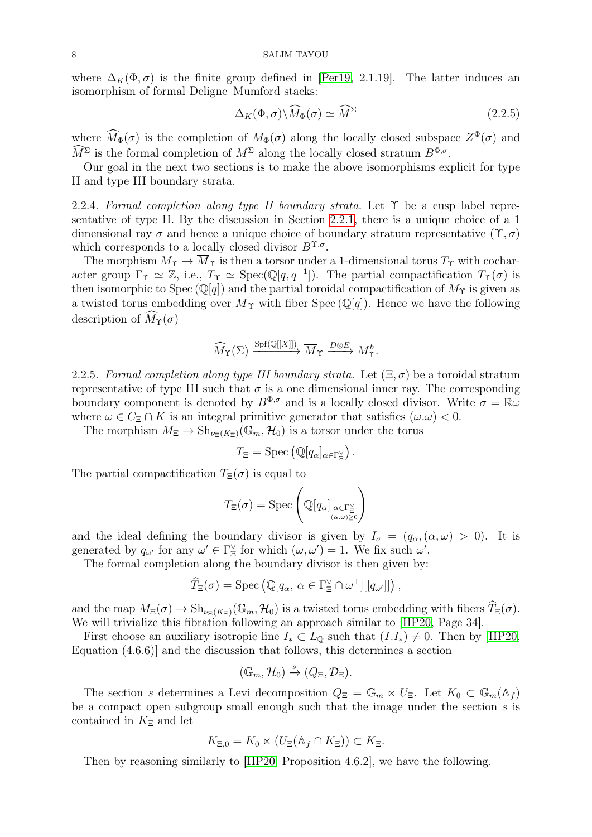where  $\Delta_K(\Phi, \sigma)$  is the finite group defined in [\[Per19,](#page-31-13) 2.1.19]. The latter induces an isomorphism of formal Deligne–Mumford stacks:

<span id="page-7-0"></span>
$$
\Delta_K(\Phi, \sigma) \backslash \widehat{M}_{\Phi}(\sigma) \simeq \widehat{M}^{\Sigma} \tag{2.2.5}
$$

where  $M_{\Phi}(\sigma)$  is the completion of  $M_{\Phi}(\sigma)$  along the locally closed subspace  $Z^{\Phi}(\sigma)$  and  $M^{\Sigma}$  is the formal completion of  $M^{\Sigma}$  along the locally closed stratum  $B^{\Phi,\sigma}$ .

Our goal in the next two sections is to make the above isomorphisms explicit for type II and type III boundary strata.

2.2.4. Formal completion along type II boundary strata. Let  $\Upsilon$  be a cusp label representative of type II. By the discussion in Section [2.2.1,](#page-5-0) there is a unique choice of a 1 dimensional ray  $\sigma$  and hence a unique choice of boundary stratum representative  $(\Upsilon, \sigma)$ which corresponds to a locally closed divisor  $B^{\Upsilon,\sigma}$ .

The morphism  $M_{\Upsilon} \to \overline{M}_{\Upsilon}$  is then a torsor under a 1-dimensional torus  $T_{\Upsilon}$  with cocharacter group  $\Gamma_{\Upsilon} \simeq \mathbb{Z}$ , i.e.,  $T_{\Upsilon} \simeq \text{Spec}(\mathbb{Q}[q, q^{-1}])$ . The partial compactification  $T_{\Upsilon}(\sigma)$  is then isomorphic to Spec  $(\mathbb{Q}[q])$  and the partial toroidal compactification of  $M_{\Upsilon}$  is given as a twisted torus embedding over  $\overline{M}_{\Upsilon}$  with fiber Spec (Q[q]). Hence we have the following description of  $\widehat{M}_{\Upsilon}(\sigma)$ 

$$
\widehat{M}_{\Upsilon}(\Sigma) \xrightarrow{\mathrm{Spf}(\mathbb{Q}[[X]])} \overline{M}_{\Upsilon} \xrightarrow{D \otimes E} M_{\Upsilon}^{h}.
$$

<span id="page-7-1"></span>2.2.5. Formal completion along type III boundary strata. Let  $(\Xi, \sigma)$  be a toroidal stratum representative of type III such that  $\sigma$  is a one dimensional inner ray. The corresponding boundary component is denoted by  $B^{\Phi,\sigma}$  and is a locally closed divisor. Write  $\sigma = \mathbb{R}\omega$ where  $\omega \in C_{\Xi} \cap K$  is an integral primitive generator that satisfies  $(\omega \cdot \omega) < 0$ .

The morphism  $M_{\Xi} \to Sh_{\nu_{\Xi}(K_{\Xi})}(\mathbb{G}_m, \mathcal{H}_0)$  is a torsor under the torus

$$
T_{\Xi} = \mathrm{Spec} \left( \mathbb{Q}[q_{\alpha}]_{\alpha \in \Gamma_{\Xi}^{\vee}} \right).
$$

The partial compactification  $T_{\Xi}(\sigma)$  is equal to

$$
T_{\Xi}(\sigma) = \operatorname{Spec} \left( \mathbb{Q}[q_{\alpha}]_{\substack{\alpha \in \Gamma_{\Xi}^{\vee} \\ (\alpha, \omega) \ge 0}} \right)
$$

and the ideal defining the boundary divisor is given by  $I_{\sigma} = (q_{\alpha}, (\alpha, \omega) > 0)$ . It is generated by  $q_{\omega'}$  for any  $\omega' \in \Gamma_{\Xi}^{\vee}$  for which  $(\omega, \omega') = 1$ . We fix such  $\omega'$ .

The formal completion along the boundary divisor is then given by:

$$
\widehat{T}_{\Xi}(\sigma) = \mathrm{Spec}\left(\mathbb{Q}[q_{\alpha}, \alpha \in \Gamma_{\Xi}^{\vee} \cap \omega^{\perp}][[q_{\omega^{\prime}}]]\right),\,
$$

and the map  $M_{\Xi}(\sigma) \to Sh_{\nu_{\Xi}(K_{\Xi})}(\mathbb{G}_m, \mathcal{H}_0)$  is a twisted torus embedding with fibers  $\widehat{T}_{\Xi}(\sigma)$ . We will trivialize this fibration following an approach similar to [\[HP20,](#page-31-11) Page 34].

First choose an auxiliary isotropic line  $I_* \subset L_0$  such that  $(I.I_*) \neq 0$ . Then by [\[HP20,](#page-31-11) Equation (4.6.6)] and the discussion that follows, this determines a section

$$
(\mathbb{G}_m, \mathcal{H}_0) \stackrel{s}{\to} (Q_{\Xi}, \mathcal{D}_{\Xi}).
$$

The section s determines a Levi decomposition  $Q_{\Xi} = \mathbb{G}_m \ltimes U_{\Xi}$ . Let  $K_0 \subset \mathbb{G}_m(\mathbb{A}_f)$ be a compact open subgroup small enough such that the image under the section s is contained in  $K_{\Xi}$  and let

$$
K_{\Xi,0} = K_0 \ltimes (U_{\Xi}(\mathbb{A}_f \cap K_{\Xi})) \subset K_{\Xi}.
$$

<span id="page-7-2"></span>Then by reasoning similarly to [\[HP20,](#page-31-11) Proposition 4.6.2], we have the following.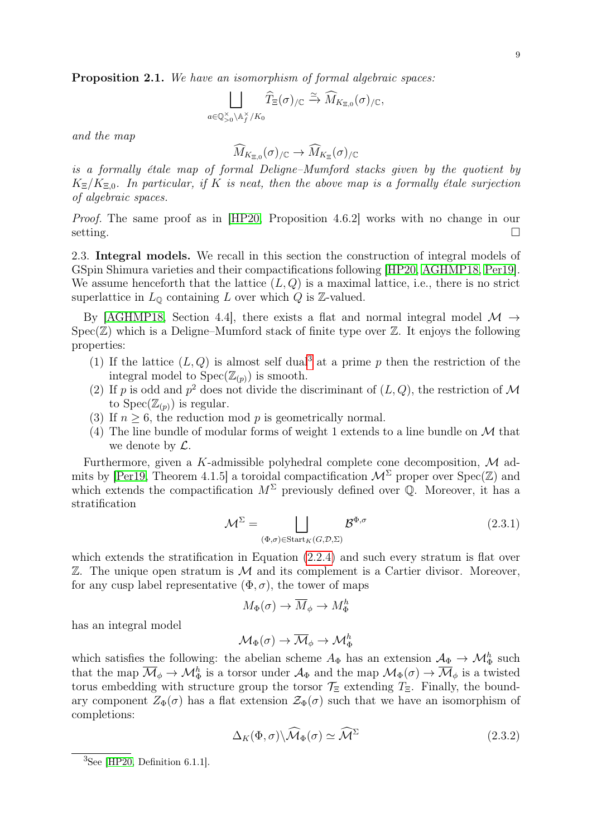Proposition 2.1. We have an isomorphism of formal algebraic spaces:

$$
\bigsqcup_{a\in \mathbb{Q}_{>0}^\times\backslash \mathbb{A}_f^\times/K_0}\widehat{T}_{\Xi}(\sigma)_{/\mathbb{C}}\xrightarrow{\simeq} \widehat{M}_{K_{\Xi,0}}(\sigma)_{/\mathbb{C}},
$$

and the map

$$
\widehat M_{K_{\Xi,0}}(\sigma)_{/\mathbb C}\to\widehat M_{K_{\Xi}}(\sigma)_{/\mathbb C}
$$

is a formally étale map of formal Deligne–Mumford stacks given by the quotient by  $K_{\Xi}/K_{\Xi,0}$ . In particular, if K is neat, then the above map is a formally étale surjection of algebraic spaces.

Proof. The same proof as in [\[HP20,](#page-31-11) Proposition 4.6.2] works with no change in our setting.  $\Box$ 

<span id="page-8-2"></span>2.3. Integral models. We recall in this section the construction of integral models of GSpin Shimura varieties and their compactifications following [\[HP20,](#page-31-11) [AGHMP18,](#page-30-11) [Per19\]](#page-31-13). We assume henceforth that the lattice  $(L, Q)$  is a maximal lattice, i.e., there is no strict superlattice in  $L_{\mathbb{Q}}$  containing L over which Q is Z-valued.

By [\[AGHMP18,](#page-30-11) Section 4.4], there exists a flat and normal integral model  $\mathcal{M} \rightarrow$  $Spec(\mathbb{Z})$  which is a Deligne–Mumford stack of finite type over  $\mathbb{Z}$ . It enjoys the following properties:

- (1) If the lattice  $(L, Q)$  is almost self dual<sup>[3](#page-8-0)</sup> at a prime p then the restriction of the integral model to  $Spec(\mathbb{Z}_{(p)})$  is smooth.
- (2) If p is odd and  $p^2$  does not divide the discriminant of  $(L, Q)$ , the restriction of M to  $Spec(\mathbb{Z}_{(p)})$  is regular.
- (3) If  $n \geq 6$ , the reduction mod p is geometrically normal.
- (4) The line bundle of modular forms of weight 1 extends to a line bundle on  $\mathcal M$  that we denote by  $\mathcal{L}$ .

Furthermore, given a K-admissible polyhedral complete cone decomposition,  $\mathcal M$  ad-mits by [\[Per19,](#page-31-13) Theorem 4.1.5] a toroidal compactification  $\mathcal{M}^{\Sigma}$  proper over Spec(Z) and which extends the compactification  $M^{\Sigma}$  previously defined over  $\mathbb{Q}$ . Moreover, it has a stratification

$$
\mathcal{M}^{\Sigma} = \bigsqcup_{\left(\Phi,\sigma\right)\in \text{Start}_{K}\left(G,\mathcal{D},\Sigma\right)} \mathcal{B}^{\Phi,\sigma} \tag{2.3.1}
$$

which extends the stratification in Equation  $(2.2.4)$  and such every stratum is flat over  $\mathbb Z$ . The unique open stratum is  $\mathcal M$  and its complement is a Cartier divisor. Moreover, for any cusp label representative  $(\Phi, \sigma)$ , the tower of maps

<span id="page-8-1"></span>
$$
M_{\Phi}(\sigma) \to \overline{M}_{\phi} \to M_{\Phi}^h
$$

has an integral model

$$
\mathcal{M}_{\Phi}(\sigma) \to \overline{\mathcal{M}}_{\phi} \to \mathcal{M}_{\Phi}^h
$$

which satisfies the following: the abelian scheme  $A_{\Phi}$  has an extension  $A_{\Phi} \to \mathcal{M}_{\Phi}^{h}$  such that the map  $\overline{\mathcal{M}}_{\phi} \to \mathcal{M}_{\Phi}^{h}$  is a torsor under  $\mathcal{A}_{\Phi}$  and the map  $\mathcal{M}_{\Phi}(\sigma) \to \overline{\mathcal{M}}_{\phi}$  is a twisted torus embedding with structure group the torsor  $\mathcal{T}_{\Xi}$  extending  $T_{\Xi}$ . Finally, the boundary component  $Z_{\Phi}(\sigma)$  has a flat extension  $\mathcal{Z}_{\Phi}(\sigma)$  such that we have an isomorphism of completions:

$$
\Delta_K(\Phi, \sigma) \backslash \widehat{\mathcal{M}}_{\Phi}(\sigma) \simeq \widehat{\mathcal{M}}^{\Sigma}
$$
\n(2.3.2)

<span id="page-8-0"></span> ${}^{3}$ See [\[HP20,](#page-31-11) Definition 6.1.1].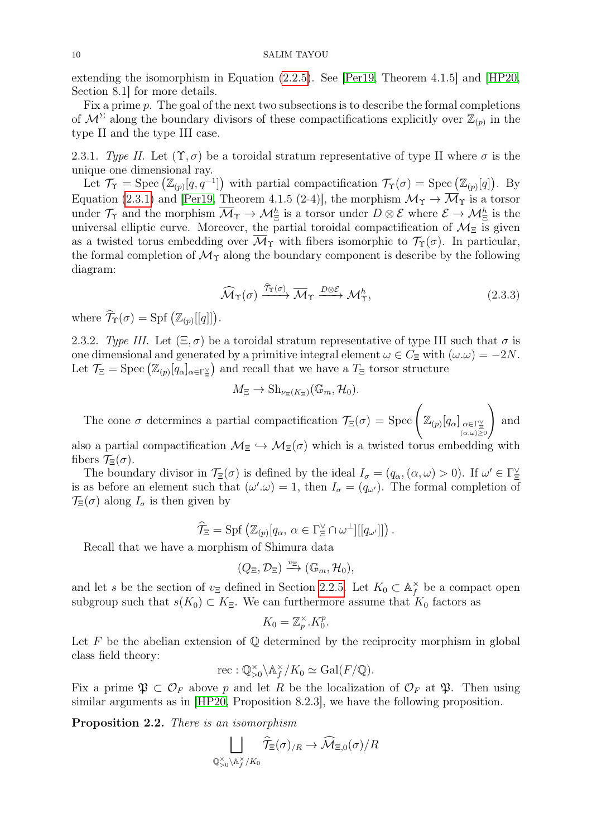extending the isomorphism in Equation [\(2.2.5\)](#page-7-0). See [\[Per19,](#page-31-13) Theorem 4.1.5] and [\[HP20,](#page-31-11) Section 8.1] for more details.

Fix a prime  $p$ . The goal of the next two subsections is to describe the formal completions of  $\mathcal{M}^{\Sigma}$  along the boundary divisors of these compactifications explicitly over  $\mathbb{Z}_{(p)}$  in the type II and the type III case.

2.3.1. Type II. Let  $(\Upsilon, \sigma)$  be a toroidal stratum representative of type II where  $\sigma$  is the unique one dimensional ray.

Let  $\mathcal{T}_{\Upsilon} = \text{Spec}(\mathbb{Z}_{(p)}[q, q^{-1}])$  with partial compactification  $\mathcal{T}_{\Upsilon}(\sigma) = \text{Spec}(\mathbb{Z}_{(p)}[q])$ . By Equation [\(2.3.1\)](#page-8-1) and [\[Per19,](#page-31-13) Theorem 4.1.5 (2-4)], the morphism  $\mathcal{M}_{\Upsilon} \to \overline{\mathcal{M}}_{\Upsilon}$  is a torsor under  $\mathcal{T}_{\Upsilon}$  and the morphism  $\overline{\mathcal{M}}_{\Upsilon} \to \mathcal{M}_{\Xi}^{h}$  is a torsor under  $D \otimes \mathcal{E}$  where  $\mathcal{E} \to \mathcal{M}_{\Xi}^{h}$  is the universal elliptic curve. Moreover, the partial toroidal compactification of  $\mathcal{M}_{\Xi}$  is given as a twisted torus embedding over  $\overline{\mathcal{M}}_{\Upsilon}$  with fibers isomorphic to  $\mathcal{T}_{\Upsilon}(\sigma)$ . In particular, the formal completion of  $\mathcal{M}_{\Upsilon}$  along the boundary component is describe by the following diagram:

<span id="page-9-0"></span>
$$
\widehat{\mathcal{M}}_{\Upsilon}(\sigma) \xrightarrow{\widehat{T}_{\Upsilon}(\sigma)} \overline{\mathcal{M}}_{\Upsilon} \xrightarrow{D \otimes \mathcal{E}} \mathcal{M}_{\Upsilon}^{h}, \tag{2.3.3}
$$

where  $\hat{\mathcal{T}}_{\Upsilon}(\sigma) = \text{Spf}(\mathbb{Z}_{(p)}[[q]]).$ 

<span id="page-9-1"></span>2.3.2. Type III. Let  $(\Xi, \sigma)$  be a toroidal stratum representative of type III such that  $\sigma$  is one dimensional and generated by a primitive integral element  $\omega \in C_{\Xi}$  with  $(\omega \cdot \omega) = -2N$ . Let  $\mathcal{T}_{\Xi} = \text{Spec} (\mathbb{Z}_{(p)}[q_\alpha]_{\alpha \in \Gamma_{\Xi}^{\vee}})$  and recall that we have a  $T_{\Xi}$  torsor structure

$$
M_{\Xi} \to \mathrm{Sh}_{\nu_{\Xi}(K_{\Xi})}(\mathbb{G}_m, \mathcal{H}_0).
$$

The cone  $\sigma$  determines a partial compactification  $\mathcal{T}_{\Xi}(\sigma) = \text{Spec} \left( \mathbb{Z}_{(p)}[q_{\alpha}]_{\alpha \in \Gamma_{\Xi}^{\vee} \atop (\alpha,\omega) \geq 0} \right)$  $\setminus$ and

also a partial compactification  $\mathcal{M}_{\Xi} \hookrightarrow \mathcal{M}_{\Xi}(\sigma)$  which is a twisted torus embedding with fibers  $\mathcal{T}_{\Xi}(\sigma)$ .

The boundary divisor in  $\mathcal{T}_{\Xi}(\sigma)$  is defined by the ideal  $I_{\sigma} = (q_{\alpha}, (\alpha, \omega) > 0)$ . If  $\omega' \in \Gamma_{\Xi}^{\vee}$ is as before an element such that  $(\omega' \omega) = 1$ , then  $I_{\sigma} = (q_{\omega'})$ . The formal completion of  $\mathcal{T}_{\Xi}(\sigma)$  along  $I_{\sigma}$  is then given by

$$
\widehat{\mathcal{T}}_{\Xi} = \mathrm{Spf}\left(\mathbb{Z}_{(p)}[q_{\alpha}, \alpha \in \Gamma_{\Xi}^{\vee} \cap \omega^{\perp}][[q_{\omega'}]]\right).
$$

Recall that we have a morphism of Shimura data

$$
(Q_{\Xi}, \mathcal{D}_{\Xi}) \xrightarrow{v_{\Xi}} (\mathbb{G}_m, \mathcal{H}_0),
$$

and let s be the section of  $v_{\Xi}$  defined in Section [2.2.5.](#page-7-1) Let  $K_0 \subset \mathbb{A}_f^{\times}$  $\sum_{f}^{\times}$  be a compact open subgroup such that  $s(K_0) \subset K_{\Xi}$ . We can furthermore assume that  $K_0$  factors as

$$
K_0 = \mathbb{Z}_p^{\times} . K_0^p.
$$

Let F be the abelian extension of  $\mathbb Q$  determined by the reciprocity morphism in global class field theory:

$$
\mathrm{rec} : \mathbb{Q}_{>0}^{\times} \backslash \mathbb{A}_f^{\times}/K_0 \simeq \mathrm{Gal}(F/\mathbb{Q}).
$$

Fix a prime  $\mathfrak{P} \subset \mathcal{O}_F$  above p and let R be the localization of  $\mathcal{O}_F$  at  $\mathfrak{P}$ . Then using similar arguments as in [\[HP20,](#page-31-11) Proposition 8.2.3], we have the following proposition.

Proposition 2.2. There is an isomorphism

$$
\bigsqcup_{\mathbb{Q}_{>0}^\times\backslash\mathbb{A}_f^\times/K_0}\widehat{\mathcal{T}}_\Xi(\sigma)_{/R}\to\widehat{\mathcal{M}}_{\Xi,0}(\sigma)/R
$$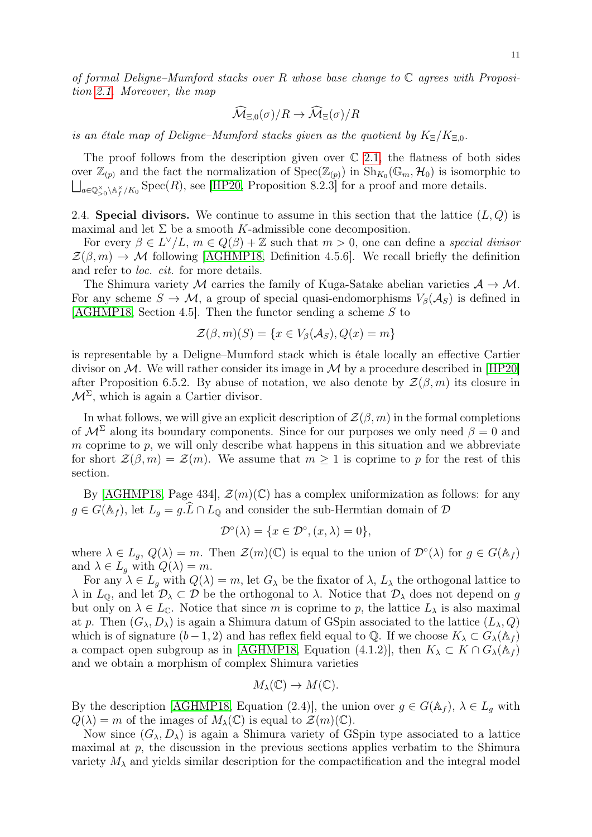of formal Deligne–Mumford stacks over R whose base change to  $\mathbb C$  agrees with Proposition [2.1.](#page-7-2) Moreover, the map

$$
\widehat{\mathcal{M}}_{\Xi,0}(\sigma)/R \to \widehat{\mathcal{M}}_{\Xi}(\sigma)/R
$$

is an étale map of Deligne–Mumford stacks given as the quotient by  $K_{\Xi}/K_{\Xi,0}$ .

The proof follows from the description given over  $\mathbb C$  [2.1,](#page-7-2) the flatness of both sides over  $\mathbb{Z}_{(p)}$  and the fact the normalization of  $Spec(\mathbb{Z}_{(p)})$  in  $Sh_{K_0}(\mathbb{G}_m, \mathcal{H}_0)$  is isomorphic to  $\bigsqcup_{a\in \mathbb{Q}_{\geq 0}^{\times}\backslash \mathbb{A}_{f}^{\times}/K_{0}}$  Spec $(R)$ , see [\[HP20,](#page-31-11) Proposition 8.2.3] for a proof and more details.

<span id="page-10-0"></span>2.4. Special divisors. We continue to assume in this section that the lattice  $(L, Q)$  is maximal and let  $\Sigma$  be a smooth K-admissible cone decomposition.

For every  $\beta \in L^{\vee}/L$ ,  $m \in Q(\beta) + \mathbb{Z}$  such that  $m > 0$ , one can define a special divisor  $\mathcal{Z}(\beta,m) \to \mathcal{M}$  following [\[AGHMP18,](#page-30-11) Definition 4.5.6]. We recall briefly the definition and refer to loc. cit. for more details.

The Shimura variety M carries the family of Kuga-Satake abelian varieties  $A \rightarrow M$ . For any scheme  $S \to M$ , a group of special quasi-endomorphisms  $V_\beta(\mathcal{A}_S)$  is defined in [\[AGHMP18,](#page-30-11) Section 4.5]. Then the functor sending a scheme  $S$  to

$$
\mathcal{Z}(\beta,m)(S) = \{x \in V_{\beta}(\mathcal{A}_S), Q(x) = m\}
$$

is representable by a Deligne–Mumford stack which is étale locally an effective Cartier divisor on M. We will rather consider its image in M by a procedure described in  $|HP20|$ after Proposition 6.5.2. By abuse of notation, we also denote by  $\mathcal{Z}(\beta,m)$  its closure in  $M^{\Sigma}$ , which is again a Cartier divisor.

In what follows, we will give an explicit description of  $\mathcal{Z}(\beta, m)$  in the formal completions of  $\mathcal{M}^{\Sigma}$  along its boundary components. Since for our purposes we only need  $\beta = 0$  and m coprime to  $p$ , we will only describe what happens in this situation and we abbreviate for short  $\mathcal{Z}(\beta,m) = \mathcal{Z}(m)$ . We assume that  $m \geq 1$  is coprime to p for the rest of this section.

By [\[AGHMP18,](#page-30-11) Page 434],  $\mathcal{Z}(m)(\mathbb{C})$  has a complex uniformization as follows: for any  $g \in G(\mathbb{A}_f)$ , let  $L_g = g \cdot \widehat{L} \cap L_{\mathbb{Q}}$  and consider the sub-Hermtian domain of  $\mathcal{D}$ 

$$
\mathcal{D}^{\circ}(\lambda) = \{x \in \mathcal{D}^{\circ}, (x, \lambda) = 0\},\
$$

where  $\lambda \in L_g$ ,  $Q(\lambda) = m$ . Then  $\mathcal{Z}(m)(\mathbb{C})$  is equal to the union of  $\mathcal{D}^{\circ}(\lambda)$  for  $g \in G(\mathbb{A}_f)$ and  $\lambda \in L_q$  with  $Q(\lambda) = m$ .

For any  $\lambda \in L_q$  with  $Q(\lambda) = m$ , let  $G_{\lambda}$  be the fixator of  $\lambda$ ,  $L_{\lambda}$  the orthogonal lattice to  $\lambda$  in  $L_{\mathbb{Q}}$ , and let  $\mathcal{D}_{\lambda} \subset \mathcal{D}$  be the orthogonal to  $\lambda$ . Notice that  $\mathcal{D}_{\lambda}$  does not depend on g but only on  $\lambda \in L_{\mathbb{C}}$ . Notice that since m is coprime to p, the lattice  $L_{\lambda}$  is also maximal at p. Then  $(G_{\lambda}, D_{\lambda})$  is again a Shimura datum of GSpin associated to the lattice  $(L_{\lambda}, Q)$ which is of signature  $(b-1, 2)$  and has reflex field equal to Q. If we choose  $K_{\lambda} \subset G_{\lambda}(\mathbb{A}_f)$ a compact open subgroup as in [\[AGHMP18,](#page-30-11) Equation (4.1.2)], then  $K_{\lambda} \subset K \cap G_{\lambda}(\mathbb{A}_f)$ and we obtain a morphism of complex Shimura varieties

$$
M_{\lambda}(\mathbb{C}) \to M(\mathbb{C}).
$$

By the description [\[AGHMP18,](#page-30-11) Equation (2.4)], the union over  $g \in G(\mathbb{A}_f)$ ,  $\lambda \in L_q$  with  $Q(\lambda) = m$  of the images of  $M_{\lambda}(\mathbb{C})$  is equal to  $\mathcal{Z}(m)(\mathbb{C})$ .

Now since  $(G_\lambda, D_\lambda)$  is again a Shimura variety of GSpin type associated to a lattice maximal at  $p$ , the discussion in the previous sections applies verbatim to the Shimura variety  $M_{\lambda}$  and yields similar description for the compactification and the integral model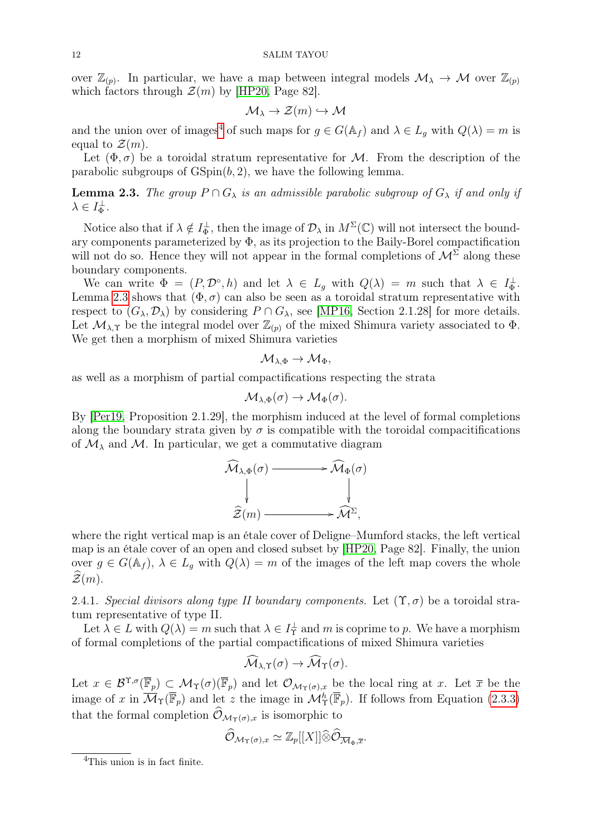over  $\mathbb{Z}_{(p)}$ . In particular, we have a map between integral models  $\mathcal{M}_{\lambda} \to \mathcal{M}$  over  $\mathbb{Z}_{(p)}$ which factors through  $\mathcal{Z}(m)$  by [\[HP20,](#page-31-11) Page 82].

$$
\mathcal{M}_{\lambda} \to \mathcal{Z}(m) \hookrightarrow \mathcal{M}
$$

and the union over of images<sup>[4](#page-11-0)</sup> of such maps for  $g \in G(\mathbb{A}_f)$  and  $\lambda \in L_g$  with  $Q(\lambda) = m$  is equal to  $\mathcal{Z}(m)$ .

Let  $(\Phi, \sigma)$  be a toroidal stratum representative for M. From the description of the parabolic subgroups of  $\text{GSpin}(b, 2)$ , we have the following lemma.

<span id="page-11-1"></span>**Lemma 2.3.** The group  $P \cap G_\lambda$  is an admissible parabolic subgroup of  $G_\lambda$  if and only if  $\lambda \in I_{\Phi}^{\perp}$ .

Notice also that if  $\lambda \notin I_{\Phi}^{\perp}$ , then the image of  $\mathcal{D}_{\lambda}$  in  $M^{\Sigma}(\mathbb{C})$  will not intersect the boundary components parameterized by Φ, as its projection to the Baily-Borel compactification will not do so. Hence they will not appear in the formal completions of  $\mathcal{M}^{\Sigma}$  along these boundary components.

We can write  $\Phi = (P, \mathcal{D}^{\circ}, h)$  and let  $\lambda \in L_g$  with  $Q(\lambda) = m$  such that  $\lambda \in L_{\Phi}^{\perp}$ . Lemma [2.3](#page-11-1) shows that  $(\Phi, \sigma)$  can also be seen as a toroidal stratum representative with respect to  $(G_\lambda, \mathcal{D}_\lambda)$  by considering  $P \cap G_\lambda$ , see [\[MP16,](#page-31-12) Section 2.1.28] for more details. Let  $\mathcal{M}_{\lambda,\Upsilon}$  be the integral model over  $\mathbb{Z}_{(p)}$  of the mixed Shimura variety associated to  $\Phi$ . We get then a morphism of mixed Shimura varieties

$$
\mathcal{M}_{\lambda,\Phi}\to \mathcal{M}_\Phi,
$$

as well as a morphism of partial compactifications respecting the strata

$$
\mathcal{M}_{\lambda,\Phi}(\sigma) \to \mathcal{M}_{\Phi}(\sigma).
$$

By [\[Per19,](#page-31-13) Proposition 2.1.29], the morphism induced at the level of formal completions along the boundary strata given by  $\sigma$  is compatible with the toroidal compacitifications of  $\mathcal{M}_{\lambda}$  and  $\mathcal{M}_{\lambda}$ . In particular, we get a commutative diagram



where the right vertical map is an étale cover of Deligne–Mumford stacks, the left vertical map is an étale cover of an open and closed subset by [\[HP20,](#page-31-11) Page 82]. Finally, the union over  $g \in G(\mathbb{A}_f)$ ,  $\lambda \in L_q$  with  $Q(\lambda) = m$  of the images of the left map covers the whole  $\mathcal{Z}(m)$ .

2.4.1. Special divisors along type II boundary components. Let  $(\Upsilon, \sigma)$  be a toroidal stratum representative of type II.

Let  $\lambda \in L$  with  $Q(\lambda) = m$  such that  $\lambda \in I_T^{\perp}$  and m is coprime to p. We have a morphism of formal completions of the partial compactifications of mixed Shimura varieties

$$
\widehat{\mathcal{M}}_{\lambda,\Upsilon}(\sigma) \to \widehat{\mathcal{M}}_{\Upsilon}(\sigma).
$$

Let  $x \in \mathcal{B}^{\Upsilon,\sigma}(\overline{\mathbb{F}}_p) \subset \mathcal{M}_{\Upsilon}(\sigma)(\overline{\mathbb{F}}_p)$  and let  $\mathcal{O}_{\mathcal{M}_{\Upsilon}(\sigma),x}$  be the local ring at x. Let  $\overline{x}$  be the image of x in  $\overline{\mathcal{M}}_{\Upsilon}(\overline{\mathbb{F}}_p)$  and let z the image in  $\mathcal{M}_{\Upsilon}^h(\overline{\mathbb{F}}_p)$ . If follows from Equation [\(2.3.3\)](#page-9-0) that the formal completion  $\widehat{\mathcal{O}}_{\mathcal{M}_{\Upsilon}(\sigma),x}$  is isomorphic to

$$
\widehat{\mathcal{O}}_{\mathcal{M}_{\Upsilon}(\sigma),x} \simeq \mathbb{Z}_p[[X]] \widehat{\otimes} \widehat{\mathcal{O}}_{\overline{\mathcal{M}}_{\Phi},\overline{x}}.
$$

<span id="page-11-0"></span><sup>4</sup>This union is in fact finite.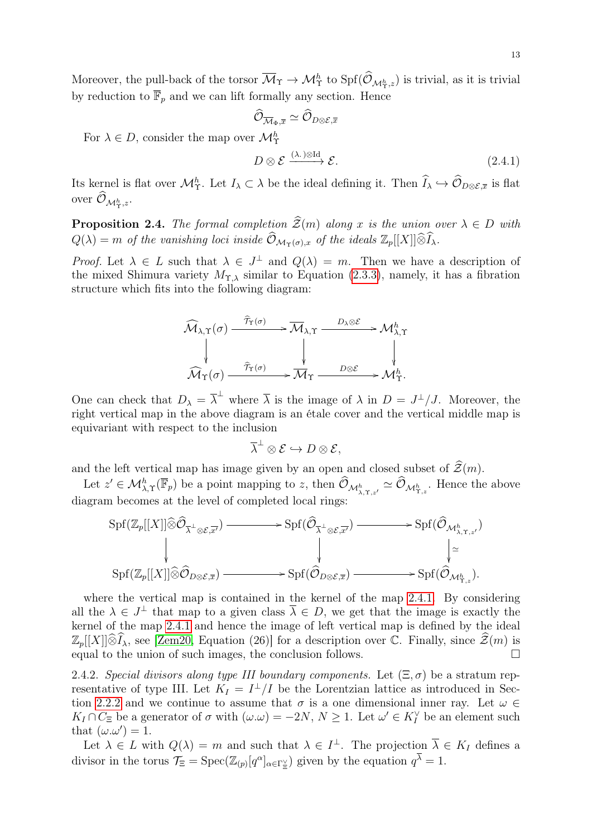Moreover, the pull-back of the torsor  $\overline{\mathcal{M}}_{\Upsilon} \to \mathcal{M}_{\Upsilon}^{h}$  to  $\text{Spf}(\mathcal{O}_{\mathcal{M}_{\Upsilon}^{h},z})$  is trivial, as it is trivial by reduction to  $\overline{\mathbb{F}}_p$  and we can lift formally any section. Hence

$$
\widehat{\mathcal{O}}_{\overline{\mathcal{M}}_{\Phi},\overline{x}} \simeq \widehat{\mathcal{O}}_{D\otimes \mathcal{E},\overline{x}}
$$
 For  $\lambda \in D$ , consider the map over  $\mathcal{M}_\Upsilon^h$ 

<span id="page-12-0"></span>
$$
D \otimes \mathcal{E} \xrightarrow{(\lambda \cdot) \otimes \mathrm{Id}} \mathcal{E}.\tag{2.4.1}
$$

Its kernel is flat over  $\mathcal{M}_{\Upsilon}^h$ . Let  $I_{\lambda} \subset \lambda$  be the ideal defining it. Then  $\widehat{I}_{\lambda} \hookrightarrow \widehat{\mathcal{O}}_{D \otimes \mathcal{E}, \overline{x}}$  is flat over  $\mathcal{O}_{\mathcal{M}^h_\Upsilon,z}.$ 

<span id="page-12-1"></span>**Proposition 2.4.** The formal completion  $\widehat{\mathcal{Z}}(m)$  along x is the union over  $\lambda \in D$  with  $Q(\lambda) = m$  of the vanishing loci inside  $\widehat{\mathcal{O}}_{\mathcal{M}_{\Upsilon}(\sigma),x}$  of the ideals  $\mathbb{Z}_p[[X]] \widehat{\otimes} \widehat{I}_{\lambda}$ .

Proof. Let  $\lambda \in L$  such that  $\lambda \in J^{\perp}$  and  $Q(\lambda) = m$ . Then we have a description of the mixed Shimura variety  $M_{\Upsilon,\lambda}$  similar to Equation [\(2.3.3\)](#page-9-0), namely, it has a fibration structure which fits into the following diagram:

$$
\widehat{\mathcal{M}}_{\lambda,\Upsilon}(\sigma) \xrightarrow{\widehat{\mathcal{T}}_{\Upsilon}(\sigma)} \overline{\mathcal{M}}_{\lambda,\Upsilon} \xrightarrow{D_{\lambda} \otimes \mathcal{E}} \mathcal{M}_{\lambda,\Upsilon}^{h}
$$
\n
$$
\downarrow \qquad \qquad \downarrow \qquad \qquad \downarrow
$$
\n
$$
\widehat{\mathcal{M}}_{\Upsilon}(\sigma) \xrightarrow{\widehat{\mathcal{T}}_{\Upsilon}(\sigma)} \overline{\mathcal{M}}_{\Upsilon} \xrightarrow{D \otimes \mathcal{E}} \mathcal{M}_{\Upsilon}^{h}.
$$

One can check that  $D_{\lambda} = \overline{\lambda}^{\perp}$  where  $\overline{\lambda}$  is the image of  $\lambda$  in  $D = J^{\perp}/J$ . Moreover, the right vertical map in the above diagram is an étale cover and the vertical middle map is equivariant with respect to the inclusion

$$
\overline{\lambda}^{\perp} \otimes \mathcal{E} \hookrightarrow D \otimes \mathcal{E},
$$

and the left vertical map has image given by an open and closed subset of  $\mathcal{Z}(m)$ .

Let  $z' \in \mathcal{M}_{\lambda,\Upsilon}^h(\overline{\mathbb{F}}_p)$  be a point mapping to z, then  $\widehat{\mathcal{O}}_{\mathcal{M}_{\lambda,\Upsilon,z'}^h} \simeq \widehat{\mathcal{O}}_{\mathcal{M}_{\Upsilon,z}^h}$ . Hence the above diagram becomes at the level of completed local rings:

$$
\operatorname{Spf}(\mathbb{Z}_p[[X]] \widehat{\otimes} \widehat{\mathcal{O}}_{\overline{\lambda}^{\perp} \otimes \mathcal{E}, \overline{x'}}) \longrightarrow \operatorname{Spf}(\widehat{\mathcal{O}}_{\overline{\lambda}^{\perp} \otimes \mathcal{E}, \overline{x'}}) \longrightarrow \operatorname{Spf}(\widehat{\mathcal{O}}_{\mathcal{M}_{\lambda, \Upsilon, z'}^h})
$$
\n
$$
\downarrow \qquad \qquad \downarrow \qquad \qquad \downarrow \qquad \qquad \downarrow \qquad \downarrow \qquad \downarrow \qquad \downarrow \qquad \downarrow \qquad \downarrow \qquad \downarrow \qquad \downarrow \qquad \downarrow \qquad \downarrow \qquad \downarrow \qquad \downarrow \qquad \downarrow \qquad \downarrow \qquad \downarrow \qquad \downarrow \qquad \downarrow \qquad \downarrow \qquad \downarrow \qquad \downarrow \qquad \downarrow \qquad \downarrow \qquad \downarrow \qquad \downarrow \qquad \downarrow \qquad \downarrow \qquad \downarrow \qquad \downarrow \qquad \downarrow \qquad \downarrow \qquad \downarrow \qquad \downarrow \qquad \downarrow \qquad \downarrow \qquad \downarrow \qquad \downarrow \qquad \downarrow \qquad \downarrow \qquad \downarrow \qquad \downarrow \qquad \downarrow \qquad \downarrow \qquad \downarrow \qquad \downarrow \qquad \downarrow \qquad \downarrow \qquad \downarrow \qquad \downarrow \qquad \downarrow \qquad \downarrow \qquad \downarrow \qquad \downarrow \qquad \downarrow \qquad \downarrow \qquad \downarrow \qquad \downarrow \qquad \downarrow \qquad \downarrow \qquad \downarrow \qquad \downarrow \qquad \downarrow \qquad \downarrow \qquad \downarrow \qquad \downarrow \qquad \downarrow \qquad \downarrow \qquad \downarrow \qquad \downarrow \qquad \downarrow \qquad \downarrow \qquad \downarrow \qquad \downarrow \qquad \downarrow \qquad \downarrow \qquad \downarrow \qquad \downarrow \qquad \downarrow \qquad \downarrow \qquad \downarrow \qquad \downarrow \qquad \downarrow \qquad \downarrow \qquad \downarrow \qquad \downarrow \qquad \downarrow \qquad \downarrow \qquad \downarrow \qquad \downarrow \qquad \downarrow \qquad \downarrow \qquad \downarrow \qquad \downarrow \qquad \downarrow \qquad \downarrow \qquad \downarrow \qquad \downarrow \qquad \downarrow \qquad
$$

where the vertical map is contained in the kernel of the map [2.4.1.](#page-12-0) By considering all the  $\lambda \in J^{\perp}$  that map to a given class  $\overline{\lambda} \in D$ , we get that the image is exactly the kernel of the map [2.4.1](#page-12-0) and hence the image of left vertical map is defined by the ideal  $\mathbb{Z}_p[[X]]\widehat{\otimes}I_\lambda$ , see [\[Zem20,](#page-31-16) Equation (26)] for a description over C. Finally, since  $\mathcal{Z}(m)$  is equal to the union of such images the conclusion follows equal to the union of such images, the conclusion follows.

<span id="page-12-2"></span>2.4.2. Special divisors along type III boundary components. Let  $(\Xi, \sigma)$  be a stratum representative of type III. Let  $K_I = I^{\perp}/I$  be the Lorentzian lattice as introduced in Sec-tion [2.2.2](#page-5-1) and we continue to assume that  $\sigma$  is a one dimensional inner ray. Let  $\omega \in$  $K_I \cap C_{\Xi}$  be a generator of  $\sigma$  with  $(\omega \cdot \omega) = -2N, N \ge 1$ . Let  $\omega' \in K_I^{\vee}$  be an element such that  $(\omega \cdot \omega') = 1$ .

Let  $\lambda \in L$  with  $Q(\lambda) = m$  and such that  $\lambda \in I^{\perp}$ . The projection  $\overline{\lambda} \in K_I$  defines a divisor in the torus  $\mathcal{T}_{\Xi} = \text{Spec}(\mathbb{Z}_{(p)}[q^{\alpha}]_{\alpha \in \Gamma_{\Xi}^{\vee}})$  given by the equation  $q^{\overline{\lambda}} = 1$ .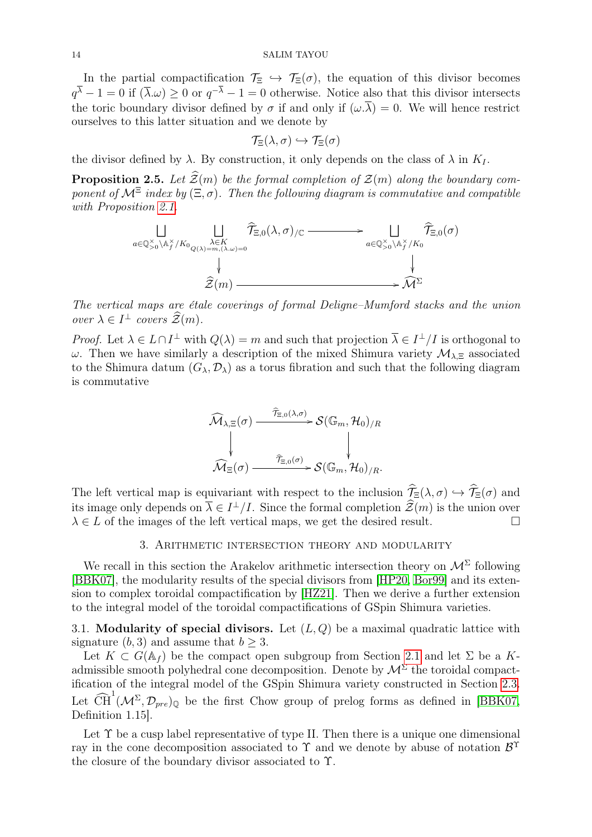In the partial compactification  $\mathcal{T}_{\Xi} \hookrightarrow \mathcal{T}_{\Xi}(\sigma)$ , the equation of this divisor becomes  $q^{\lambda}-1=0$  if  $(\overline{\lambda}.\omega)\geq 0$  or  $q^{-\lambda}-1=0$  otherwise. Notice also that this divisor intersects the toric boundary divisor defined by  $\sigma$  if and only if  $(\omega, \overline{\lambda}) = 0$ . We will hence restrict ourselves to this latter situation and we denote by

$$
\mathcal{T}_{\Xi}(\lambda,\sigma)\hookrightarrow\mathcal{T}_{\Xi}(\sigma)
$$

the divisor defined by  $\lambda$ . By construction, it only depends on the class of  $\lambda$  in  $K_I$ .

<span id="page-13-1"></span>**Proposition 2.5.** Let  $\widehat{\mathcal{Z}}(m)$  be the formal completion of  $\mathcal{Z}(m)$  along the boundary component of  $\mathcal{M}^{\Xi}$  index by  $(\Xi, \sigma)$ . Then the following diagram is commutative and compatible with Proposition [2.1.](#page-7-2)

$$
\begin{array}{ccc}\n\bigsqcup_{a\in\mathbb{Q}_{>0}^{\times}\backslash\mathbb{A}_{f}^{\times}/K_{0}}\bigsqcup_{\lambda\in K}\widehat{\mathcal{T}}_{\Xi,0}(\lambda,\sigma)_{/\mathbb{C}} & \longrightarrow & \bigsqcup_{a\in\mathbb{Q}_{>0}^{\times}\backslash\mathbb{A}_{f}^{\times}/K_{0}}\widehat{\mathcal{T}}_{\Xi,0}(\sigma) \\
& & & \bigsqcup_{\widehat{\mathcal{Z}}(m)}\mathcal{Z}(m) & \longrightarrow & \mathcal{M}^{\Sigma}\n\end{array}
$$

The vertical maps are étale coverings of formal Deligne–Mumford stacks and the union over  $\lambda \in I^{\perp}$  covers  $\widehat{\mathcal{Z}}(m)$ .

*Proof.* Let  $\lambda \in L \cap I^{\perp}$  with  $Q(\lambda) = m$  and such that projection  $\overline{\lambda} \in I^{\perp}/I$  is orthogonal to ω. Then we have similarly a description of the mixed Shimura variety  $\mathcal{M}_{\lambda \Xi}$  associated to the Shimura datum  $(G_{\lambda}, \mathcal{D}_{\lambda})$  as a torus fibration and such that the following diagram is commutative



The left vertical map is equivariant with respect to the inclusion  $\hat{\mathcal{T}}_{\Xi}(\lambda, \sigma) \hookrightarrow \hat{\mathcal{T}}_{\Xi}(\sigma)$  and its image only depends on  $\overline{\lambda} \in I^{\perp}/I$ . Since the formal completion  $\mathcal{Z}(m)$  is the union over  $\lambda \in L$  of the images of the left vertical maps, we get the desired result.

## 3. Arithmetic intersection theory and modularity

<span id="page-13-0"></span>We recall in this section the Arakelov arithmetic intersection theory on  $\mathcal{M}^{\Sigma}$  following [\[BBK07\]](#page-30-7), the modularity results of the special divisors from [\[HP20,](#page-31-11) [Bor99\]](#page-30-10) and its extension to complex toroidal compactification by [\[HZ21\]](#page-31-10). Then we derive a further extension to the integral model of the toroidal compactifications of GSpin Shimura varieties.

3.1. Modularity of special divisors. Let  $(L, Q)$  be a maximal quadratic lattice with signature  $(b, 3)$  and assume that  $b > 3$ .

Let  $K \subset G(\mathbb{A}_f)$  be the compact open subgroup from Section [2.1](#page-3-2) and let  $\Sigma$  be a Kadmissible smooth polyhedral cone decomposition. Denote by  $\mathcal{M}^{\Sigma}$  the toroidal compactification of the integral model of the GSpin Shimura variety constructed in Section [2.3.](#page-8-2) Let  $\widehat{\text{CH}}^1(\mathcal{M}^{\Sigma}, \mathcal{D}_{pre})_{\mathbb{Q}}$  be the first Chow group of prelog forms as defined in [\[BBK07,](#page-30-7) Definition 1.15].

Let  $\Upsilon$  be a cusp label representative of type II. Then there is a unique one dimensional ray in the cone decomposition associated to  $\Upsilon$  and we denote by abuse of notation  $\mathcal{B}^{\Upsilon}$ the closure of the boundary divisor associated to Υ.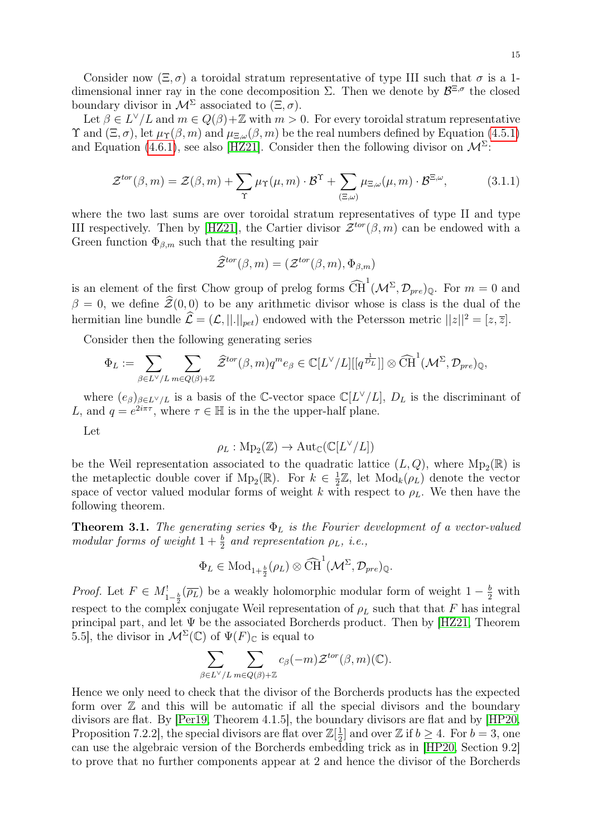Consider now  $(\Xi, \sigma)$  a toroidal stratum representative of type III such that  $\sigma$  is a 1dimensional inner ray in the cone decomposition  $\Sigma$ . Then we denote by  $\mathcal{B}^{\Xi,\sigma}$  the closed boundary divisor in  $\mathcal{M}^{\Sigma}$  associated to  $(\Xi, \sigma)$ .

Let  $\beta \in L^{\vee}/L$  and  $m \in Q(\beta)+\mathbb{Z}$  with  $m > 0$ . For every toroidal stratum representative  $\Upsilon$  and  $(\Xi, \sigma)$ , let  $\mu_{\Upsilon}(\beta, m)$  and  $\mu_{\Xi, \omega}(\beta, m)$  be the real numbers defined by Equation [\(4.5.1\)](#page-22-0) and Equation [\(4.6.1\)](#page-22-1), see also [\[HZ21\]](#page-31-10). Consider then the following divisor on  $\mathcal{M}^{\Sigma}$ :

$$
\mathcal{Z}^{tor}(\beta,m) = \mathcal{Z}(\beta,m) + \sum_{\Upsilon} \mu_{\Upsilon}(\mu,m) \cdot \mathcal{B}^{\Upsilon} + \sum_{(\Xi,\omega)} \mu_{\Xi,\omega}(\mu,m) \cdot \mathcal{B}^{\Xi,\omega},\tag{3.1.1}
$$

where the two last sums are over toroidal stratum representatives of type II and type III respectively. Then by [\[HZ21\]](#page-31-10), the Cartier divisor  $\mathcal{Z}^{tor}(\beta,m)$  can be endowed with a Green function  $\Phi_{\beta,m}$  such that the resulting pair

<span id="page-14-0"></span>
$$
\widehat{\mathcal{Z}}^{tor}(\beta,m) = (\mathcal{Z}^{tor}(\beta,m),\Phi_{\beta,m})
$$

is an element of the first Chow group of prelog forms  $\widehat{CH}^1(\mathcal{M}^{\Sigma}, \mathcal{D}_{pre})_{\mathbb{Q}}$ . For  $m = 0$  and  $\beta = 0$ , we define  $\hat{\mathcal{Z}}(0, 0)$  to be any arithmetic divisor whose is class is the dual of the hermitian line bundle  $\hat{\mathcal{L}} = (\mathcal{L}, ||.||_{pet})$  endowed with the Petersson metric  $||z||^2 = [z, \overline{z}]$ .

Consider then the following generating series

$$
\Phi_L := \sum_{\beta \in L^{\vee}/L} \sum_{m \in Q(\beta)+\mathbb{Z}} \widehat{\mathcal{Z}}^{tor}(\beta,m) q^m e_{\beta} \in \mathbb{C}[L^{\vee}/L][[q^{\frac{1}{D_L}}]] \otimes \widehat{\text{CH}}^1(\mathcal{M}^{\Sigma}, \mathcal{D}_{pre})_{\mathbb{Q}},
$$

where  $(e_{\beta})_{\beta \in L^{\vee}/L}$  is a basis of the C-vector space  $\mathbb{C}[L^{\vee}/L], D_L$  is the discriminant of L, and  $q = e^{2i\pi\tau}$ , where  $\tau \in \mathbb{H}$  is in the the upper-half plane.

Let

$$
\rho_L: \mathrm{Mp}_2(\mathbb{Z}) \to \mathrm{Aut}_\mathbb{C}(\mathbb{C}[L^\vee/L])
$$

be the Weil representation associated to the quadratic lattice  $(L, Q)$ , where  $Mp_2(\mathbb{R})$  is the metaplectic double cover if  $Mp_2(\mathbb{R})$ . For  $k \in \frac{1}{2}$  $\frac{1}{2}\mathbb{Z}$ , let  $\text{Mod}_k(\rho_L)$  denote the vector space of vector valued modular forms of weight k with respect to  $\rho_L$ . We then have the following theorem.

<span id="page-14-1"></span>**Theorem 3.1.** The generating series  $\Phi_L$  is the Fourier development of a vector-valued modular forms of weight  $1+\frac{b}{2}$  and representation  $\rho_L$ , i.e.,

$$
\Phi_L \in \text{Mod}_{1+\frac{b}{2}}(\rho_L) \otimes \widehat{\text{CH}}^1(\mathcal{M}^{\Sigma}, \mathcal{D}_{pre})_{\mathbb{Q}}.
$$

*Proof.* Let  $F \in M_{1-\frac{b}{2}}^{\perp}(\overline{\rho_L})$  be a weakly holomorphic modular form of weight  $1-\frac{b}{2}$  with respect to the complex conjugate Weil representation of  $\rho_L$  such that that F has integral principal part, and let  $\Psi$  be the associated Borcherds product. Then by [\[HZ21,](#page-31-10) Theorem 5.5], the divisor in  $\mathcal{M}^{\Sigma}(\mathbb{C})$  of  $\Psi(F)_{\mathbb{C}}$  is equal to

$$
\sum_{\beta \in L^{\vee}/L} \sum_{m \in Q(\beta)+\mathbb{Z}} c_{\beta}(-m) \mathcal{Z}^{tor}(\beta,m)(\mathbb{C}).
$$

Hence we only need to check that the divisor of the Borcherds products has the expected form over  $\mathbb Z$  and this will be automatic if all the special divisors and the boundary divisors are flat. By [\[Per19,](#page-31-13) Theorem 4.1.5], the boundary divisors are flat and by [\[HP20,](#page-31-11) Proposition 7.2.2, the special divisors are flat over  $\mathbb{Z}[\frac{1}{2}]$  $\frac{1}{2}$  and over Z if  $b \ge 4$ . For  $b = 3$ , one can use the algebraic version of the Borcherds embedding trick as in [\[HP20,](#page-31-11) Section 9.2] to prove that no further components appear at 2 and hence the divisor of the Borcherds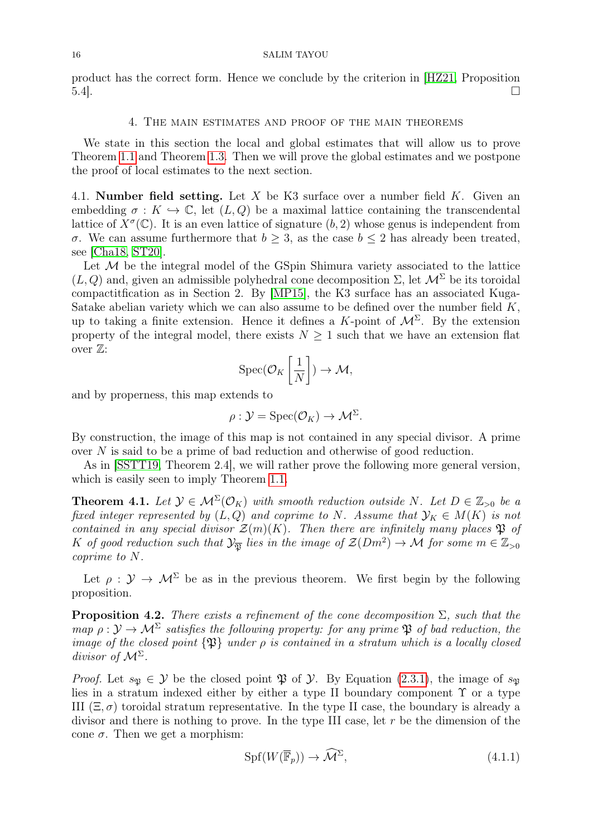product has the correct form. Hence we conclude by the criterion in [\[HZ21,](#page-31-10) Proposition  $\overline{5.4}$ .

#### 4. The main estimates and proof of the main theorems

<span id="page-15-0"></span>We state in this section the local and global estimates that will allow us to prove Theorem [1.1](#page-0-1) and Theorem [1.3.](#page-1-0) Then we will prove the global estimates and we postpone the proof of local estimates to the next section.

4.1. Number field setting. Let X be K3 surface over a number field K. Given an embedding  $\sigma: K \hookrightarrow \mathbb{C}$ , let  $(L, Q)$  be a maximal lattice containing the transcendental lattice of  $X^{\sigma}(\mathbb{C})$ . It is an even lattice of signature  $(b, 2)$  whose genus is independent from σ. We can assume furthermore that  $b \geq 3$ , as the case  $b \leq 2$  has already been treated, see [\[Cha18,](#page-30-6) [ST20\]](#page-31-9).

Let  $M$  be the integral model of the GSpin Shimura variety associated to the lattice  $(L, Q)$  and, given an admissible polyhedral cone decomposition  $\Sigma$ , let  $\mathcal{M}^{\Sigma}$  be its toroidal compactitfication as in Section 2. By [\[MP15\]](#page-31-18), the K3 surface has an associated Kuga-Satake abelian variety which we can also assume to be defined over the number field  $K$ , up to taking a finite extension. Hence it defines a K-point of  $\mathcal{M}^{\Sigma}$ . By the extension property of the integral model, there exists  $N \geq 1$  such that we have an extension flat over  $\mathbb{Z}$ :

$$
\operatorname{Spec}(\mathcal{O}_K\left[\frac{1}{N}\right]) \to \mathcal{M},
$$

and by properness, this map extends to

$$
\rho: \mathcal{Y} = \text{Spec}(\mathcal{O}_K) \to \mathcal{M}^{\Sigma}.
$$

By construction, the image of this map is not contained in any special divisor. A prime over N is said to be a prime of bad reduction and otherwise of good reduction.

As in [\[SSTT19,](#page-31-2) Theorem 2.4], we will rather prove the following more general version, which is easily seen to imply Theorem [1.1.](#page-0-1)

<span id="page-15-1"></span>**Theorem 4.1.** Let  $\mathcal{Y} \in \mathcal{M}^{\Sigma}(\mathcal{O}_K)$  with smooth reduction outside N. Let  $D \in \mathbb{Z}_{>0}$  be a fixed integer represented by  $(L, Q)$  and coprime to N. Assume that  $\mathcal{Y}_K \in M(K)$  is not contained in any special divisor  $\mathcal{Z}(m)(K)$ . Then there are infinitely many places  $\mathfrak P$  of K of good reduction such that  $\mathcal{Y}_{\overline{\mathfrak{P}}}$  lies in the image of  $\mathcal{Z}(Dm^2) \to \mathcal{M}$  for some  $m \in \mathbb{Z}_{>0}$ coprime to N.

Let  $\rho : \mathcal{Y} \to \mathcal{M}^{\Sigma}$  be as in the previous theorem. We first begin by the following proposition.

<span id="page-15-3"></span>**Proposition 4.2.** There exists a refinement of the cone decomposition  $\Sigma$ , such that the map  $\rho: \mathcal{Y} \to \mathcal{M}^{\Sigma}$  satisfies the following property: for any prime  $\mathfrak{P}$  of bad reduction, the image of the closed point  $\{\mathfrak{P}\}\$  under  $\rho$  is contained in a stratum which is a locally closed divisor of  $\mathcal{M}^{\Sigma}$ .

*Proof.* Let  $s_{\mathfrak{N}} \in \mathcal{Y}$  be the closed point  $\mathfrak{P}$  of  $\mathcal{Y}$ . By Equation [\(2.3.1\)](#page-8-1), the image of  $s_{\mathfrak{N}}$ lies in a stratum indexed either by either a type II boundary component  $\Upsilon$  or a type III  $(\Xi, \sigma)$  toroidal stratum representative. In the type II case, the boundary is already a divisor and there is nothing to prove. In the type III case, let r be the dimension of the cone  $\sigma$ . Then we get a morphism:

<span id="page-15-2"></span>
$$
Spf(W(\overline{\mathbb{F}}_p)) \to \widehat{\mathcal{M}}^{\Sigma},\tag{4.1.1}
$$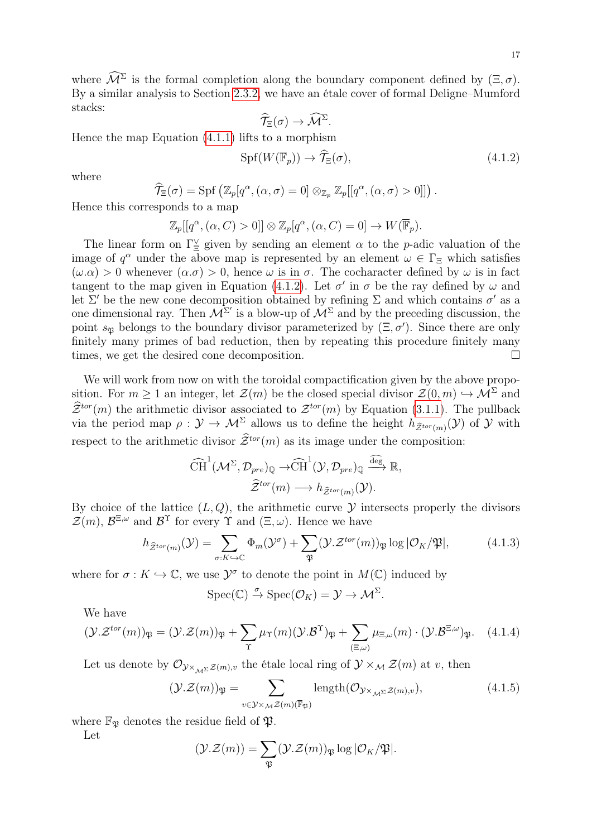where  $\widehat{\mathcal{M}}^{\Sigma}$  is the formal completion along the boundary component defined by  $(\Xi, \sigma)$ . By a similar analysis to Section [2.3.2,](#page-9-1) we have an étale cover of formal Deligne–Mumford stacks:

<span id="page-16-0"></span>
$$
\widehat{\mathcal{T}}_{\Xi}(\sigma) \to \widehat{\mathcal{M}}^{\Sigma}.
$$

Hence the map Equation [\(4.1.1\)](#page-15-2) lifts to a morphism

$$
Spf(W(\overline{\mathbb{F}}_p)) \to \widehat{\mathcal{T}}_{\Xi}(\sigma),\tag{4.1.2}
$$

where

$$
\widehat{\mathcal{T}}_{\Xi}(\sigma) = \mathrm{Spf}\left(\mathbb{Z}_p[q^{\alpha},(\alpha,\sigma) = 0] \otimes_{\mathbb{Z}_p} \mathbb{Z}_p[[q^{\alpha},(\alpha,\sigma) > 0]]\right).
$$

Hence this corresponds to a map

 $\mathbb{Z}_p[[q^{\alpha},(\alpha,C)>0]]\otimes \mathbb{Z}_p[q^{\alpha},(\alpha,C)=0]\to W(\overline{\mathbb{F}}_p).$ 

The linear form on  $\Gamma_{\Xi}^{\vee}$  given by sending an element  $\alpha$  to the *p*-adic valuation of the image of  $q^{\alpha}$  under the above map is represented by an element  $\omega \in \Gamma_{\Xi}$  which satisfies  $(\omega.\alpha) > 0$  whenever  $(\alpha.\sigma) > 0$ , hence  $\omega$  is in  $\sigma$ . The cocharacter defined by  $\omega$  is in fact tangent to the map given in Equation [\(4.1.2\)](#page-16-0). Let  $\sigma'$  in  $\sigma$  be the ray defined by  $\omega$  and let  $\Sigma'$  be the new cone decomposition obtained by refining  $\Sigma$  and which contains  $\sigma'$  as a one dimensional ray. Then  $\mathcal{M}^{\Sigma'}$  is a blow-up of  $\mathcal{M}^{\Sigma}$  and by the preceding discussion, the point  $s_{\mathfrak{P}}$  belongs to the boundary divisor parameterized by  $(\Xi, \sigma')$ . Since there are only finitely many primes of bad reduction, then by repeating this procedure finitely many times, we get the desired cone decomposition.

We will work from now on with the toroidal compactification given by the above proposition. For  $m \ge 1$  an integer, let  $\mathcal{Z}(m)$  be the closed special divisor  $\mathcal{Z}(0, m) \hookrightarrow \mathcal{M}^{\Sigma}$  and  $\widetilde{\mathcal{Z}}^{tor}(m)$  the arithmetic divisor associated to  $\mathcal{Z}^{tor}(m)$  by Equation [\(3.1.1\)](#page-14-0). The pullback via the period map  $\rho: \mathcal{Y} \to \mathcal{M}^{\Sigma}$  allows us to define the height  $h_{\hat{\mathcal{Z}}^{tor}(m)}(\mathcal{Y})$  of  $\mathcal{Y}$  with respect to the arithmetic divisor  $\hat{\mathcal{Z}}^{tor}(m)$  as its image under the composition:

$$
\widehat{\text{CH}}^1(\mathcal{M}^{\Sigma}, \mathcal{D}_{pre})_{\mathbb{Q}} \to \widehat{\text{CH}}^1(\mathcal{Y}, \mathcal{D}_{pre})_{\mathbb{Q}} \xrightarrow{\widehat{\text{deg}}} \mathbb{R},
$$

$$
\widehat{\mathcal{Z}}^{tor}(m) \longrightarrow h_{\widehat{\mathcal{Z}}^{tor}(m)}(\mathcal{Y}).
$$

By choice of the lattice  $(L, Q)$ , the arithmetic curve  $\mathcal Y$  intersects properly the divisors  $\mathcal{Z}(m)$ ,  $\mathcal{B}^{\Xi,\omega}$  and  $\mathcal{B}^{\Upsilon}$  for every  $\Upsilon$  and  $(\Xi,\omega)$ . Hence we have

$$
h_{\widehat{\mathcal{Z}}^{tor}(m)}(\mathcal{Y}) = \sum_{\sigma: K \hookrightarrow \mathbb{C}} \Phi_m(\mathcal{Y}^{\sigma}) + \sum_{\mathfrak{P}} (\mathcal{Y} \cdot \mathcal{Z}^{tor}(m))_{\mathfrak{P}} \log |\mathcal{O}_K/\mathfrak{P}|, \tag{4.1.3}
$$

where for  $\sigma: K \hookrightarrow \mathbb{C}$ , we use  $\mathcal{Y}^{\sigma}$  to denote the point in  $M(\mathbb{C})$  induced by

<span id="page-16-2"></span><span id="page-16-1"></span>
$$
\mathrm{Spec}(\mathbb{C}) \xrightarrow{\sigma} \mathrm{Spec}(\mathcal{O}_K) = \mathcal{Y} \to \mathcal{M}^{\Sigma}.
$$

We have

$$
(\mathcal{Y}\mathcal{Z}^{tor}(m))_{\mathfrak{P}} = (\mathcal{Y}\mathcal{Z}(m))_{\mathfrak{P}} + \sum_{\Upsilon} \mu_{\Upsilon}(m) (\mathcal{Y}\mathcal{B}^{\Upsilon})_{\mathfrak{P}} + \sum_{(\Xi,\omega)} \mu_{\Xi,\omega}(m) \cdot (\mathcal{Y}\mathcal{B}^{\Xi,\omega})_{\mathfrak{P}}.
$$
 (4.1.4)

Let us denote by  $\mathcal{O}_{\mathcal{Y}\times_{\mathcal{M}^{\Sigma}}\mathcal{Z}(m),v}$  the étale local ring of  $\mathcal{Y}\times_{\mathcal{M}}\mathcal{Z}(m)$  at v, then

$$
(\mathcal{Y}.\mathcal{Z}(m))_{\mathfrak{P}} = \sum_{v \in \mathcal{Y} \times_{\mathcal{M}} \mathcal{Z}(m)(\overline{\mathbb{F}}_{\mathfrak{P}})} \text{length}(\mathcal{O}_{\mathcal{Y} \times_{\mathcal{M}^{\Sigma}} \mathcal{Z}(m), v}), \tag{4.1.5}
$$

where  $\mathbb{F}_{\mathfrak{P}}$  denotes the residue field of  $\mathfrak{P}$ .

Let

$$
(\mathcal{Y}.\mathcal{Z}(m)) = \sum_{\mathfrak{P}} (\mathcal{Y}.\mathcal{Z}(m))_{\mathfrak{P}} \log |\mathcal{O}_K/\mathfrak{P}|.
$$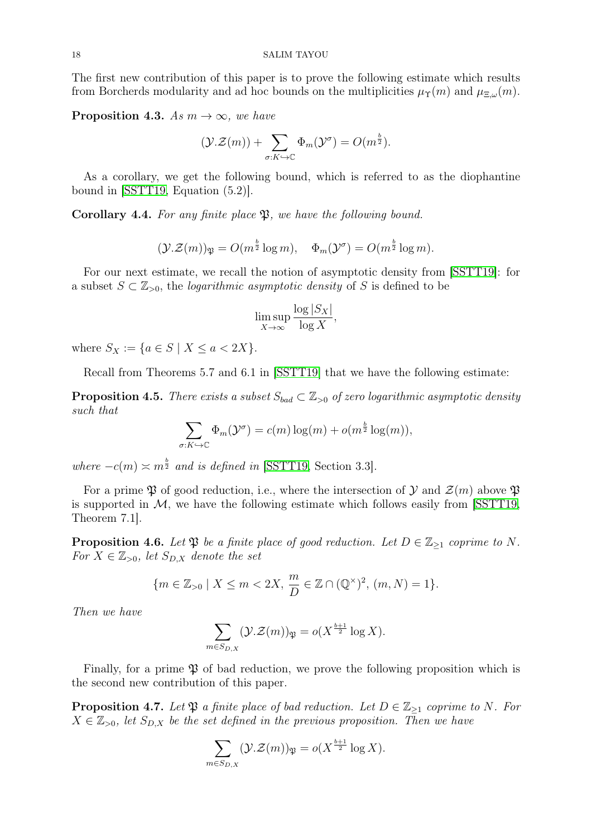The first new contribution of this paper is to prove the following estimate which results from Borcherds modularity and ad hoc bounds on the multiplicities  $\mu_{\Upsilon}(m)$  and  $\mu_{\Xi,\omega}(m)$ .

<span id="page-17-0"></span>**Proposition 4.3.** As  $m \to \infty$ , we have

$$
(\mathcal{Y}.\mathcal{Z}(m)) + \sum_{\sigma: K \hookrightarrow \mathbb{C}} \Phi_m(\mathcal{Y}^\sigma) = O(m^{\frac{b}{2}}).
$$

As a corollary, we get the following bound, which is referred to as the diophantine bound in [\[SSTT19,](#page-31-2) Equation (5.2)].

<span id="page-17-3"></span>Corollary 4.4. For any finite place  $\mathfrak{P}$ , we have the following bound.

$$
(\mathcal{Y}.\mathcal{Z}(m))_{\mathfrak{P}} = O(m^{\frac{b}{2}} \log m), \quad \Phi_m(\mathcal{Y}^\sigma) = O(m^{\frac{b}{2}} \log m).
$$

For our next estimate, we recall the notion of asymptotic density from [\[SSTT19\]](#page-31-2): for a subset  $S \subset \mathbb{Z}_{>0}$ , the *logarithmic asymptotic density* of S is defined to be

$$
\limsup_{X \to \infty} \frac{\log |S_X|}{\log X},
$$

where  $S_X := \{a \in S \mid X \le a < 2X\}.$ 

Recall from Theorems 5.7 and 6.1 in [\[SSTT19\]](#page-31-2) that we have the following estimate:

<span id="page-17-1"></span>**Proposition 4.5.** There exists a subset  $S_{bad} \subset \mathbb{Z}_{\geq 0}$  of zero logarithmic asymptotic density such that

$$
\sum_{\sigma: K \hookrightarrow \mathbb{C}} \Phi_m(\mathcal{Y}^{\sigma}) = c(m) \log(m) + o(m^{\frac{b}{2}} \log(m)),
$$

where  $-c(m) \approx m^{\frac{b}{2}}$  and is defined in [\[SSTT19,](#page-31-2) Section 3.3].

For a prime  $\mathfrak P$  of good reduction, i.e., where the intersection of  $\mathcal Y$  and  $\mathcal Z(m)$  above  $\mathfrak P$ is supported in  $M$ , we have the following estimate which follows easily from  $|SSTT19\rangle$ , Theorem 7.1].

**Proposition 4.6.** Let  $\mathfrak{P}$  be a finite place of good reduction. Let  $D \in \mathbb{Z}_{\geq 1}$  coprime to N. For  $X \in \mathbb{Z}_{>0}$ , let  $S_{D,X}$  denote the set

$$
\{m \in \mathbb{Z}_{>0} \mid X \le m < 2X, \, \frac{m}{D} \in \mathbb{Z} \cap (\mathbb{Q}^{\times})^2, \, (m, N) = 1\}.
$$

Then we have

$$
\sum_{m \in S_{D,X}} (\mathcal{Y}.\mathcal{Z}(m))_{\mathfrak{P}} = o(X^{\frac{b+1}{2}} \log X).
$$

Finally, for a prime  $\mathfrak P$  of bad reduction, we prove the following proposition which is the second new contribution of this paper.

<span id="page-17-2"></span>**Proposition 4.7.** Let  $\mathfrak{P}$  a finite place of bad reduction. Let  $D \in \mathbb{Z}_{\geq 1}$  coprime to N. For  $X \in \mathbb{Z}_{>0}$ , let  $S_{D,X}$  be the set defined in the previous proposition. Then we have

$$
\sum_{m \in S_{D,X}} (\mathcal{Y}.\mathcal{Z}(m))_{\mathfrak{P}} = o(X^{\frac{b+1}{2}} \log X).
$$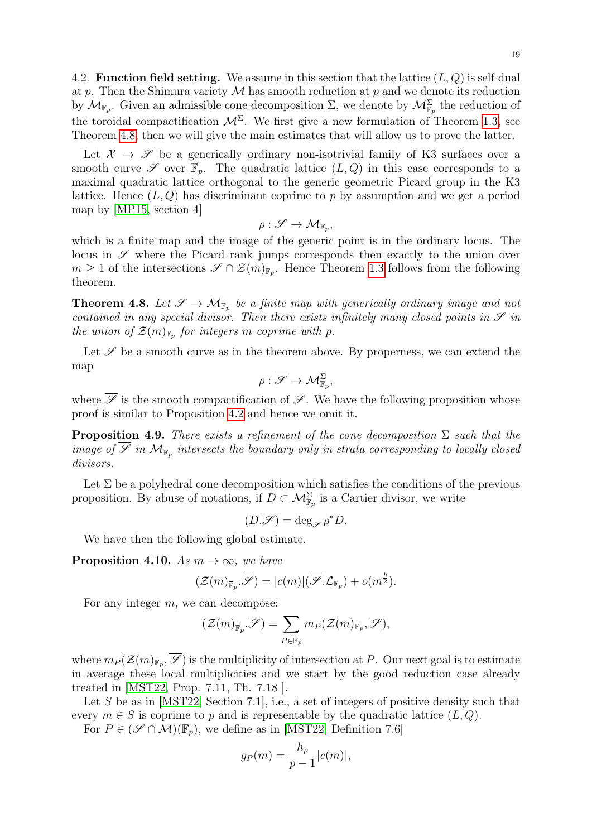4.2. **Function field setting.** We assume in this section that the lattice  $(L, Q)$  is self-dual at p. Then the Shimura variety  $M$  has smooth reduction at p and we denote its reduction by  $\mathcal{M}_{\mathbb{F}_p}$ . Given an admissible cone decomposition  $\Sigma$ , we denote by  $\mathcal{M}_{\mathbb{F}_p}^{\Sigma}$  the reduction of the toroidal compactification  $\mathcal{M}^{\Sigma}$ . We first give a new formulation of Theorem [1.3,](#page-1-0) see Theorem [4.8,](#page-18-0) then we will give the main estimates that will allow us to prove the latter.

Let  $\mathcal{X} \to \mathcal{S}$  be a generically ordinary non-isotrivial family of K3 surfaces over a smooth curve  $\mathscr S$  over  $\overline{\mathbb F}_p$ . The quadratic lattice  $(L, Q)$  in this case corresponds to a maximal quadratic lattice orthogonal to the generic geometric Picard group in the K3 lattice. Hence  $(L, Q)$  has discriminant coprime to p by assumption and we get a period map by [\[MP15,](#page-31-18) section 4]

$$
\rho: \mathscr{S} \to \mathcal{M}_{\mathbb{F}_p}
$$

,

which is a finite map and the image of the generic point is in the ordinary locus. The locus in  $\mathscr S$  where the Picard rank jumps corresponds then exactly to the union over  $m \geq 1$  of the intersections  $\mathscr{S} \cap \mathcal{Z}(m)_{\mathbb{F}_p}$ . Hence Theorem [1.3](#page-1-0) follows from the following theorem.

<span id="page-18-0"></span>**Theorem 4.8.** Let  $\mathscr{S} \to \mathcal{M}_{\mathbb{F}_p}$  be a finite map with generically ordinary image and not contained in any special divisor. Then there exists infinitely many closed points in  $\mathscr S$  in the union of  $\mathcal{Z}(m)_{\mathbb{F}_p}$  for integers m coprime with p.

Let  $\mathscr S$  be a smooth curve as in the theorem above. By properness, we can extend the map

$$
\rho: \overline{\mathscr{S}} \to \mathcal{M}^{\Sigma}_{\mathbb{F}_p},
$$

where  $\overline{\mathscr{S}}$  is the smooth compactification of  $\mathscr{S}$ . We have the following proposition whose proof is similar to Proposition [4.2](#page-15-3) and hence we omit it.

<span id="page-18-2"></span>**Proposition 4.9.** There exists a refinement of the cone decomposition  $\Sigma$  such that the image of  $\mathscr S$  in  $\mathcal M_{\overline{\mathbb F}_p}$  intersects the boundary only in strata corresponding to locally closed divisors.

Let  $\Sigma$  be a polyhedral cone decomposition which satisfies the conditions of the previous proposition. By abuse of notations, if  $D \subset \mathcal{M}_{\mathbb{F}_p}^{\Sigma}$  is a Cartier divisor, we write

$$
(D.\overline{\mathscr{S}}) = \deg_{\overline{\mathscr{S}}}\rho^*D.
$$

We have then the following global estimate.

<span id="page-18-1"></span>**Proposition 4.10.** As  $m \to \infty$ , we have

$$
(\mathcal{Z}(m)_{\overline{\mathbb{F}}_p} \cdot \overline{\mathscr{S}}) = |c(m)| (\overline{\mathscr{S}} \cdot \mathcal{L}_{\mathbb{F}_p}) + o(m^{\frac{b}{2}}).
$$

For any integer m, we can decompose:

$$
(\mathcal{Z}(m)_{\overline{\mathbb{F}}_p}.\overline{\mathscr{S}}) = \sum_{P \in \overline{\mathbb{F}}_p} m_P(\mathcal{Z}(m)_{\mathbb{F}_p}, \overline{\mathscr{S}}),
$$

where  $m_P(\mathcal{Z}(m)_{\mathbb{F}_p}, \mathscr{S})$  is the multiplicity of intersection at P. Our next goal is to estimate in average these local multiplicities and we start by the good reduction case already treated in [\[MST22,](#page-31-3) Prop. 7.11, Th. 7.18 ].

Let S be as in [\[MST22,](#page-31-3) Section 7.1], i.e., a set of integers of positive density such that every  $m \in S$  is coprime to p and is representable by the quadratic lattice  $(L, Q)$ .

For  $P \in (\mathscr{S} \cap \mathcal{M})(\mathbb{F}_p)$ , we define as in [\[MST22,](#page-31-3) Definition 7.6]

$$
g_P(m) = \frac{h_p}{p-1}|c(m)|,
$$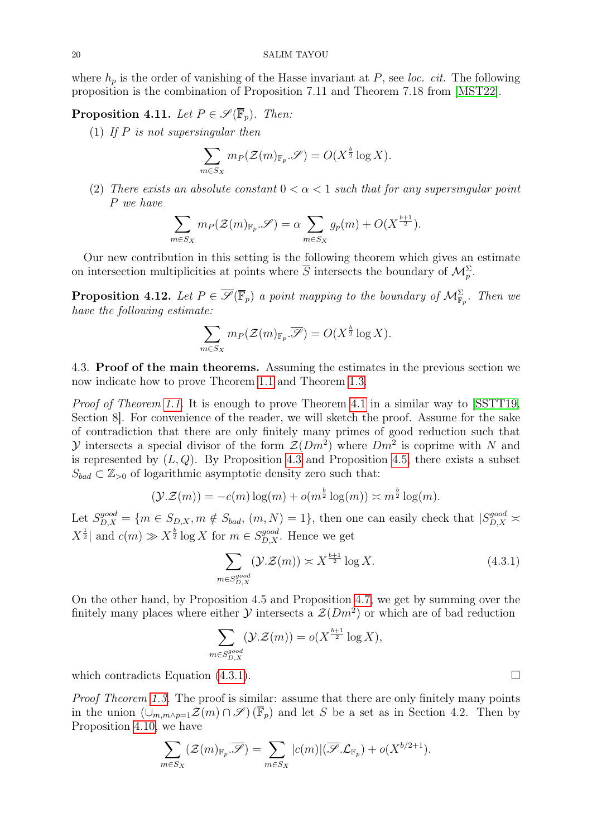where  $h_p$  is the order of vanishing of the Hasse invariant at  $P$ , see loc. cit. The following proposition is the combination of Proposition 7.11 and Theorem 7.18 from [\[MST22\]](#page-31-3).

<span id="page-19-1"></span>**Proposition 4.11.** Let  $P \in \mathscr{S}(\overline{\mathbb{F}}_p)$ . Then:

(1) If  $P$  is not supersingular then

$$
\sum_{m \in S_X} m_P(\mathcal{Z}(m)_{\mathbb{F}_p} \mathcal{S}) = O(X^{\frac{b}{2}} \log X).
$$

(2) There exists an absolute constant  $0 < \alpha < 1$  such that for any supersingular point P we have

$$
\sum_{m \in S_X} m_P(\mathcal{Z}(m)_{\mathbb{F}_p} \mathcal{S}) = \alpha \sum_{m \in S_X} g_p(m) + O(X^{\frac{b+1}{2}}).
$$

Our new contribution in this setting is the following theorem which gives an estimate on intersection multiplicities at points where  $\overline{S}$  intersects the boundary of  $\mathcal{M}_p^{\Sigma}$ .

<span id="page-19-2"></span>**Proposition 4.12.** Let  $P \in \overline{\mathscr{S}}(\overline{\mathbb{F}}_p)$  a point mapping to the boundary of  $\mathcal{M}_{\mathbb{F}_p}^{\Sigma}$ . Then we have the following estimate:

$$
\sum_{m \in S_X} m_P(\mathcal{Z}(m)_{\mathbb{F}_p} \cdot \overline{\mathcal{S}}) = O(X^{\frac{b}{2}} \log X).
$$

4.3. Proof of the main theorems. Assuming the estimates in the previous section we now indicate how to prove Theorem [1.1](#page-0-1) and Theorem [1.3.](#page-1-0)

Proof of Theorem [1.1.](#page-0-1) It is enough to prove Theorem [4.1](#page-15-1) in a similar way to SSTT19, Section 8]. For convenience of the reader, we will sketch the proof. Assume for the sake of contradiction that there are only finitely many primes of good reduction such that V intersects a special divisor of the form  $\mathcal{Z}(Dm^2)$  where  $Dm^2$  is coprime with N and is represented by  $(L, Q)$ . By Proposition [4.3](#page-17-0) and Proposition [4.5,](#page-17-1) there exists a subset  $S_{bad} \subset \mathbb{Z}_{\geq 0}$  of logarithmic asymptotic density zero such that:

$$
(\mathcal{Y}.\mathcal{Z}(m)) = -c(m)\log(m) + o(m^{\frac{b}{2}}\log(m)) \approx m^{\frac{b}{2}}\log(m).
$$

Let  $S_{D,X}^{good} = \{m \in S_{D,X}, m \notin S_{bad}, (m, N) = 1\}$ , then one can easily check that  $|S_{D,X}^{good} \geq$  $X^{\frac{1}{2}}$  and  $c(m) \gg X^{\frac{b}{2}} \log X$  for  $m \in S_{D,X}^{good}$ . Hence we get

$$
\sum_{m \in S_{D,X}^{good}} (\mathcal{Y}.\mathcal{Z}(m)) \asymp X^{\frac{b+1}{2}} \log X.
$$
 (4.3.1)

On the other hand, by Proposition 4.5 and Proposition [4.7,](#page-17-2) we get by summing over the finitely many places where either  $\mathcal Y$  intersects a  $\mathcal Z(Dm^2)$  or which are of bad reduction

$$
\sum_{m \in S_{D,X}^{good}} (\mathcal{Y}.\mathcal{Z}(m)) = o(X^{\frac{b+1}{2}} \log X),
$$

which contradicts Equation  $(4.3.1)$ .

Proof Theorem [1.3.](#page-1-0) The proof is similar: assume that there are only finitely many points in the union  $(\cup_{m,m\wedge p=1}\mathcal{Z}(m)\cap\mathcal{S})(\overline{\mathbb{F}}_p)$  and let S be a set as in Section 4.2. Then by Proposition [4.10,](#page-18-1) we have

$$
\sum_{m \in S_X} (\mathcal{Z}(m)_{\mathbb{F}_p} \cdot \overline{\mathcal{S}}) = \sum_{m \in S_X} |c(m)| (\overline{\mathcal{S}} \cdot \mathcal{L}_{\mathbb{F}_p}) + o(X^{b/2+1}).
$$

<span id="page-19-0"></span>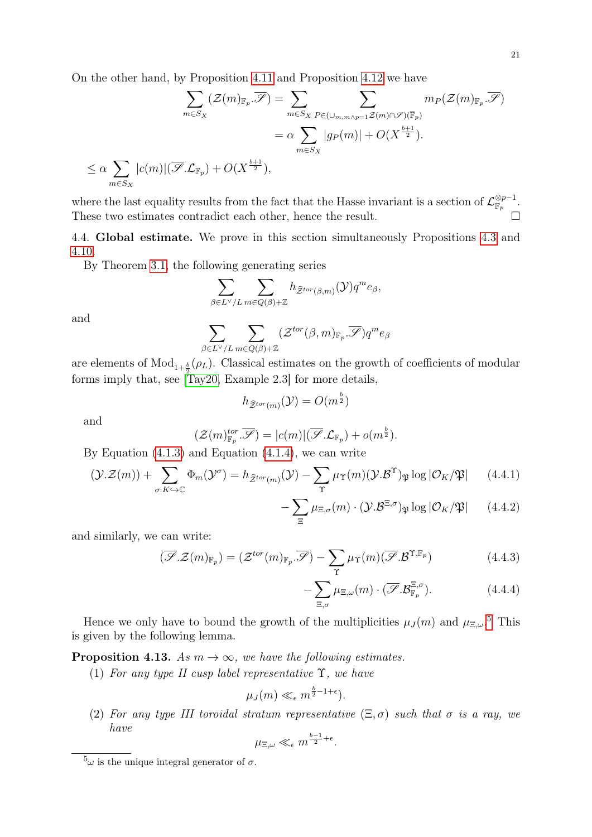On the other hand, by Proposition [4.11](#page-19-1) and Proposition [4.12](#page-19-2) we have

$$
\sum_{m \in S_X} (\mathcal{Z}(m)_{\mathbb{F}_p} \cdot \overline{\mathcal{S}}) = \sum_{m \in S_X} \sum_{P \in (\cup_{m,m \wedge p=1}^{\infty} \mathcal{Z}(m) \cap \mathcal{S})(\overline{\mathbb{F}}_p)} m_P(\mathcal{Z}(m)_{\mathbb{F}_p} \cdot \overline{\mathcal{S}})
$$
  

$$
= \alpha \sum_{m \in S_X} |g_P(m)| + O(X^{\frac{b+1}{2}}).
$$
  

$$
\leq \alpha \sum_{m \in S_X} |c(m)| (\overline{\mathcal{S}} \cdot \mathcal{L}_{\mathbb{F}_p}) + O(X^{\frac{b+1}{2}}),
$$

where the last equality results from the fact that the Hasse invariant is a section of  $\mathcal{L}_{\mathbb{F}_p}^{\otimes p-1}$ . These two estimates contradict each other, hence the result.

4.4. Global estimate. We prove in this section simultaneously Propositions [4.3](#page-17-0) and [4.10.](#page-18-1)

By Theorem [3.1,](#page-14-1) the following generating series

$$
\sum_{\beta \in L^{\vee}/L} \sum_{m \in Q(\beta)+\mathbb{Z}} h_{\widehat{\mathcal{Z}}^{tor}(\beta,m)}(\mathcal{Y}) q^m e_{\beta},
$$

and

$$
\sum_{\beta\in L^{\vee}/L}\sum_{m\in Q(\beta)+\mathbb{Z}}(\mathcal{Z}^{tor}(\beta,m)_{\mathbb{F}_p}.\overline{\mathscr{S}})q^{m}e_{\beta}
$$

are elements of  $Mod_{1+\frac{b}{2}}(\rho_L)$ . Classical estimates on the growth of coefficients of modular forms imply that, see [\[Tay20,](#page-31-5) Example 2.3] for more details,

$$
h_{\widehat{\mathcal{Z}}^{tor}(m)}(\mathcal{Y})=O(m^{\frac{b}{2}})
$$

and

$$
(\mathcal{Z}(m)_{\mathbb{F}_p}^{tor}, \overline{\mathscr{S}}) = |c(m)| (\overline{\mathscr{S}}.\mathcal{L}_{\mathbb{F}_p}) + o(m^{\frac{b}{2}}).
$$

By Equation  $(4.1.3)$  and Equation  $(4.1.4)$ , we can write

$$
(\mathcal{Y}.\mathcal{Z}(m)) + \sum_{\sigma: K \hookrightarrow \mathbb{C}} \Phi_m(\mathcal{Y}^\sigma) = h_{\widehat{\mathcal{Z}}^{tor}(m)}(\mathcal{Y}) - \sum_{\Upsilon} \mu_{\Upsilon}(m)(\mathcal{Y}.\mathcal{B}^\Upsilon)_{\mathfrak{P}} \log |\mathcal{O}_K/\mathfrak{P}| \qquad (4.4.1)
$$

$$
-\sum_{\Xi} \mu_{\Xi,\sigma}(m) \cdot (\mathcal{Y}.\mathcal{B}^{\Xi,\sigma})_{\mathfrak{P}} \log |\mathcal{O}_K/\mathfrak{P}| \qquad (4.4.2)
$$

and similarly, we can write:

$$
(\overline{\mathscr{S}}.\mathcal{Z}(m)_{\mathbb{F}_p}) = (\mathcal{Z}^{tor}(m)_{\mathbb{F}_p}.\overline{\mathscr{S}}) - \sum_{\Upsilon} \mu_{\Upsilon}(m) (\overline{\mathscr{S}}.\mathcal{B}^{\Upsilon,\mathbb{F}_p})
$$
(4.4.3)

$$
-\sum_{\Xi,\sigma}\mu_{\Xi,\omega}(m)\cdot(\overline{\mathscr{S}}.\mathcal{B}_{\mathbb{F}_p}^{\Xi,\sigma}).\tag{4.4.4}
$$

Hence we only have to bound the growth of the multiplicities  $\mu_J(m)$  and  $\mu_{\Xi,\omega}$ .<sup>[5](#page-20-0)</sup> This is given by the following lemma.

<span id="page-20-1"></span>**Proposition 4.13.** As  $m \to \infty$ , we have the following estimates.

(1) For any type II cusp label representative  $\Upsilon$ , we have

$$
\mu_J(m) \ll_{\epsilon} m^{\frac{b}{2}-1+\epsilon}.
$$

(2) For any type III toroidal stratum representative  $(\Xi, \sigma)$  such that  $\sigma$  is a ray, we have

$$
\mu_{\Xi,\omega} \ll_{\epsilon} m^{\frac{b-1}{2}+\epsilon}.
$$

<span id="page-20-0"></span> ${}^5\omega$  is the unique integral generator of  $\sigma$ .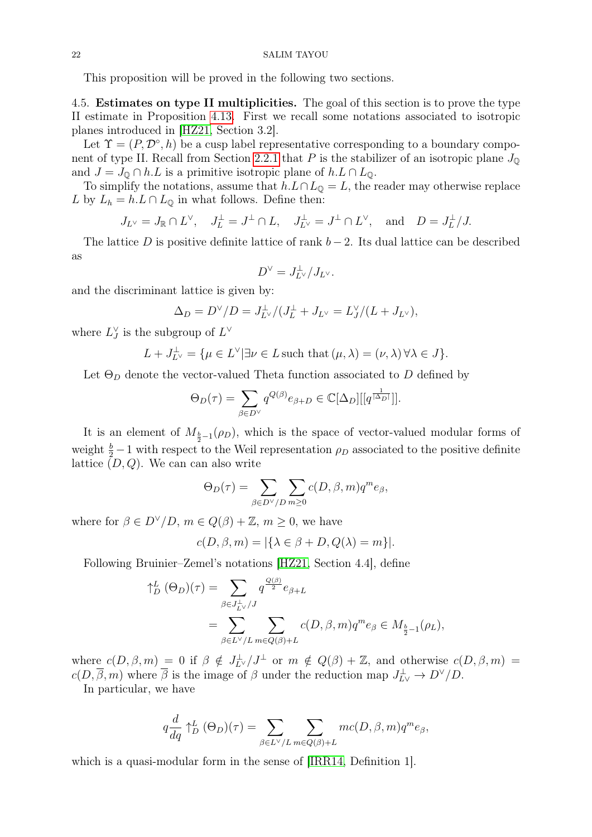#### 22 SALIM TAYOU

This proposition will be proved in the following two sections.

<span id="page-21-0"></span>4.5. Estimates on type II multiplicities. The goal of this section is to prove the type II estimate in Proposition [4.13.](#page-20-1) First we recall some notations associated to isotropic planes introduced in [\[HZ21,](#page-31-10) Section 3.2].

Let  $\Upsilon = (P, \mathcal{D}^{\circ}, h)$  be a cusp label representative corresponding to a boundary compo-nent of type II. Recall from Section [2.2.1](#page-5-0) that P is the stabilizer of an isotropic plane  $J_{\mathbb{Q}}$ and  $J = J_{\mathbb{Q}} \cap h.L$  is a primitive isotropic plane of  $h.L \cap L_{\mathbb{Q}}$ .

To simplify the notations, assume that  $h.L \cap L_{\mathbb{Q}} = L$ , the reader may otherwise replace L by  $L_h = h.L \cap L_{\mathbb{Q}}$  in what follows. Define then:

$$
J_{L^{\vee}} = J_{\mathbb{R}} \cap L^{\vee}, \quad J_L^{\perp} = J^{\perp} \cap L, \quad J_{L^{\vee}}^{\perp} = J^{\perp} \cap L^{\vee}, \quad \text{and} \quad D = J_L^{\perp}/J.
$$

The lattice D is positive definite lattice of rank  $b-2$ . Its dual lattice can be described as

$$
D^{\vee} = J_{L^{\vee}}^{\perp} / J_{L^{\vee}}.
$$

and the discriminant lattice is given by:

$$
\Delta_D = D^{\vee}/D = J_{L^{\vee}}^{\perp}/(J_L^{\perp} + J_{L^{\vee}} = L_J^{\vee}/(L + J_{L^{\vee}}),
$$

where  $L_J^{\vee}$  is the subgroup of  $L^{\vee}$ 

$$
L + J_{L^{\vee}}^{\perp} = {\mu \in L^{\vee} | \exists \nu \in L \text{ such that } (\mu, \lambda) = (\nu, \lambda) \,\forall \lambda \in J}.
$$

Let  $\Theta_D$  denote the vector-valued Theta function associated to D defined by

$$
\Theta_D(\tau) = \sum_{\beta \in D^{\vee}} q^{Q(\beta)} e_{\beta+D} \in \mathbb{C}[\Delta_D][[q^{\frac{1}{|\Delta_D|}}]].
$$

It is an element of  $M_{\frac{b}{2}-1}(\rho_D)$ , which is the space of vector-valued modular forms of weight  $\frac{b}{2} - 1$  with respect to the Weil representation  $\rho_D$  associated to the positive definite lattice  $(D, Q)$ . We can can also write

$$
\Theta_D(\tau) = \sum_{\beta \in D^{\vee}/D} \sum_{m \ge 0} c(D, \beta, m) q^m e_{\beta},
$$

where for  $\beta \in D^{\vee}/D$ ,  $m \in Q(\beta) + \mathbb{Z}$ ,  $m \geq 0$ , we have

$$
c(D, \beta, m) = |\{\lambda \in \beta + D, Q(\lambda) = m\}|.
$$

Following Bruinier–Zemel's notations [\[HZ21,](#page-31-10) Section 4.4], define

$$
\begin{split} \uparrow_D^L (\Theta_D)(\tau) &= \sum_{\beta \in J_{L\vee}^{\perp}/J} q^{\frac{Q(\beta)}{2}} e_{\beta+L} \\ &= \sum_{\beta \in L^{\vee}/L} \sum_{m \in Q(\beta)+L} c(D,\beta,m) q^m e_{\beta} \in M_{\frac{b}{2}-1}(\rho_L), \end{split}
$$

where  $c(D, \beta, m) = 0$  if  $\beta \notin J_{L}^{\perp}/J^{\perp}$  or  $m \notin Q(\beta) + \mathbb{Z}$ , and otherwise  $c(D, \beta, m) =$  $c(D, \overline{\beta}, m)$  where  $\overline{\beta}$  is the image of  $\beta$  under the reduction map  $J_{LV}^{\perp} \to D^{\vee}/D$ .

In particular, we have

$$
q\frac{d}{dq}\uparrow_D^L(\Theta_D)(\tau)=\sum_{\beta\in L^\vee/L}\sum_{m\in Q(\beta)+L}mc(D,\beta,m)q^me_\beta,
$$

which is a quasi-modular form in the sense of [\[IRR14,](#page-31-19) Definition 1].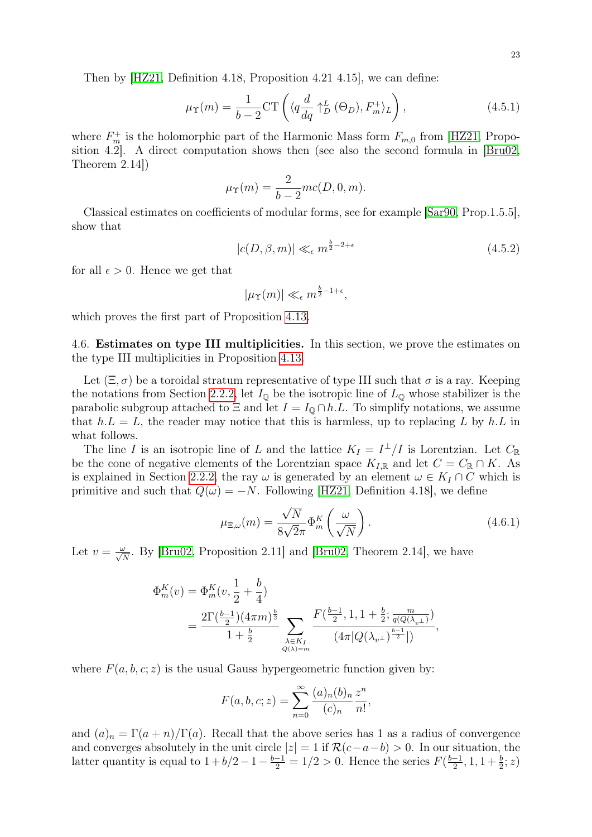Then by [\[HZ21,](#page-31-10) Definition 4.18, Proposition 4.21 4.15], we can define:

$$
\mu_{\Upsilon}(m) = \frac{1}{b-2} \text{CT} \left( \langle q \frac{d}{dq} \uparrow_D^L (\Theta_D), F_m^+ \rangle_L \right), \tag{4.5.1}
$$

where  $F_m^+$  is the holomorphic part of the Harmonic Mass form  $F_{m,0}$  from [\[HZ21,](#page-31-10) Proposition 4.2]. A direct computation shows then (see also the second formula in [\[Bru02,](#page-30-8) Theorem 2.14])

<span id="page-22-0"></span>
$$
\mu_{\Upsilon}(m) = \frac{2}{b-2}mc(D,0,m).
$$

Classical estimates on coefficients of modular forms, see for example [\[Sar90,](#page-31-20) Prop.1.5.5], show that

$$
|c(D, \beta, m)| \ll_{\epsilon} m^{\frac{b}{2} - 2 + \epsilon} \tag{4.5.2}
$$

for all  $\epsilon > 0$ . Hence we get that

$$
|\mu_{\Upsilon}(m)| \ll_{\epsilon} m^{\frac{b}{2}-1+\epsilon},
$$

which proves the first part of Proposition [4.13.](#page-20-1)

4.6. Estimates on type III multiplicities. In this section, we prove the estimates on the type III multiplicities in Proposition [4.13.](#page-20-1)

Let  $(\Xi, \sigma)$  be a toroidal stratum representative of type III such that  $\sigma$  is a ray. Keeping the notations from Section [2.2.2,](#page-5-1) let  $I_{\mathbb{Q}}$  be the isotropic line of  $L_{\mathbb{Q}}$  whose stabilizer is the parabolic subgroup attached to  $\Xi$  and let  $I = I_0 \cap h.L$ . To simplify notations, we assume that  $h.L = L$ , the reader may notice that this is harmless, up to replacing L by h.L in what follows.

The line I is an isotropic line of L and the lattice  $K_I = I^{\perp}/I$  is Lorentzian. Let  $C_{\mathbb{R}}$ be the cone of negative elements of the Lorentzian space  $K_{I,\mathbb{R}}$  and let  $C = C_{\mathbb{R}} \cap K$ . As is explained in Section [2.2.2,](#page-5-1) the ray  $\omega$  is generated by an element  $\omega \in K_I \cap C$  which is primitive and such that  $Q(\omega) = -N$ . Following [\[HZ21,](#page-31-10) Definition 4.18], we define

<span id="page-22-1"></span>
$$
\mu_{\Xi,\omega}(m) = \frac{\sqrt{N}}{8\sqrt{2}\pi} \Phi_m^K \left(\frac{\omega}{\sqrt{N}}\right). \tag{4.6.1}
$$

Let  $v = \frac{\omega}{\sqrt{N}}$ . By [\[Bru02,](#page-30-8) Proposition 2.11] and [Bru02, Theorem 2.14], we have

$$
\Phi_m^K(v) = \Phi_m^K(v, \frac{1}{2} + \frac{b}{4})
$$
  
= 
$$
\frac{2\Gamma(\frac{b-1}{2})(4\pi m)^{\frac{b}{2}}}{1 + \frac{b}{2}} \sum_{\substack{\lambda \in K_I \\ Q(\lambda) = m}} \frac{F(\frac{b-1}{2}, 1, 1 + \frac{b}{2}; \frac{m}{q(Q(\lambda_{v\perp}))})}{(4\pi |Q(\lambda_{v\perp})^{\frac{b-1}{2}}|)},
$$

where  $F(a, b, c; z)$  is the usual Gauss hypergeometric function given by:

$$
F(a, b, c; z) = \sum_{n=0}^{\infty} \frac{(a)_n (b)_n}{(c)_n} \frac{z^n}{n!},
$$

and  $(a)_n = \Gamma(a+n)/\Gamma(a)$ . Recall that the above series has 1 as a radius of convergence and converges absolutely in the unit circle  $|z| = 1$  if  $\mathcal{R}(c-a-b) > 0$ . In our situation, the latter quantity is equal to  $1 + b/2 - 1 - \frac{b-1}{2} = 1/2 > 0$ . Hence the series  $F(\frac{b-1}{2})$  $\frac{-1}{2}$ , 1, 1 +  $\frac{b}{2}$ ; z)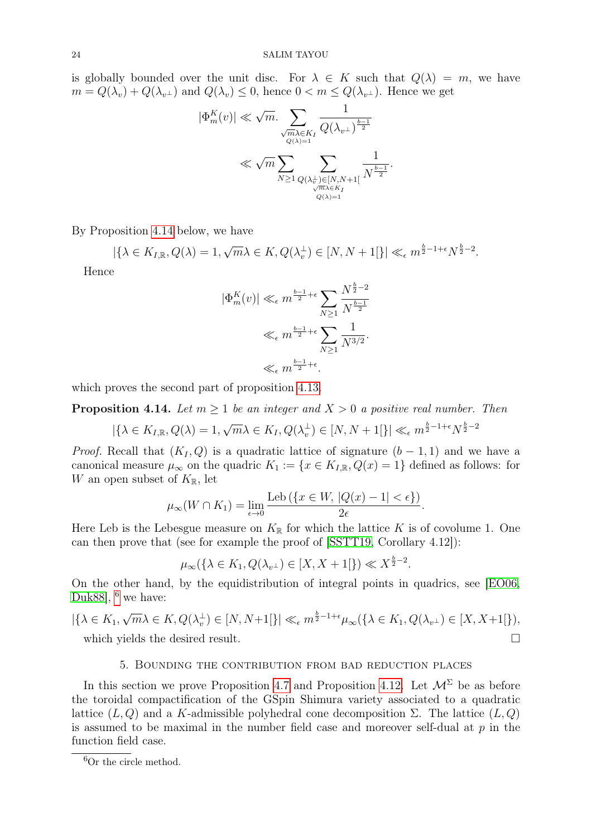is globally bounded over the unit disc. For  $\lambda \in K$  such that  $Q(\lambda) = m$ , we have  $m = Q(\lambda_v) + Q(\lambda_{v^{\perp}})$  and  $Q(\lambda_v) \leq 0$ , hence  $0 < m \leq Q(\lambda_{v^{\perp}})$ . Hence we get

$$
|\Phi_m^K(v)| \ll \sqrt{m} \sum_{\substack{\sqrt{m}\lambda \in K_I \\ Q(\lambda)=1}} \frac{1}{Q(\lambda_{v^\perp})^{\frac{b-1}{2}}} \ll \sqrt{m} \sum_{\substack{N \geq 1 \\ N \geq 1}} \sum_{\substack{Q(\lambda_v^\perp) \in [N, N+1[ \\ \sqrt{m}\lambda \in K_I \\ Q(\lambda)=1}} \frac{1}{N^{\frac{b-1}{2}}}.
$$

By Proposition [4.14](#page-23-1) below, we have

$$
|\{\lambda \in K_{I,\mathbb{R}}, Q(\lambda)=1, \sqrt{m}\lambda \in K, Q(\lambda_v^{\perp}) \in [N, N+1[\}]| \ll_{\epsilon} m^{\frac{b}{2}-1+\epsilon} N^{\frac{b}{2}-2}.
$$

Hence

$$
|\Phi_m^K(v)| \ll_{\epsilon} m^{\frac{b-1}{2}+\epsilon} \sum_{N\geq 1} \frac{N^{\frac{b}{2}-2}}{N^{\frac{b-1}{2}}} \ll_{\epsilon} m^{\frac{b-1}{2}+\epsilon} \sum_{N\geq 1} \frac{1}{N^{3/2}}.
$$

$$
\ll_{\epsilon} m^{\frac{b-1}{2}+\epsilon}.
$$

which proves the second part of proposition [4.13.](#page-20-1)

<span id="page-23-1"></span>**Proposition 4.14.** Let  $m > 1$  be an integer and  $X > 0$  a positive real number. Then

 $\left|\left\{\lambda \in K_{I,\mathbb{R}}, Q(\lambda)=1,\right.\right\}$ √  $\{\overline{m}\lambda \in K_I, Q(\lambda_v^{\perp}) \in [N, N + 1[\}] \ll_{\epsilon} m^{\frac{b}{2} - 1 + \epsilon} N^{\frac{b}{2} - 2}$ 

*Proof.* Recall that  $(K_I, Q)$  is a quadratic lattice of signature  $(b - 1, 1)$  and we have a canonical measure  $\mu_{\infty}$  on the quadric  $K_1 := \{x \in K_{I,\mathbb{R}}, Q(x) = 1\}$  defined as follows: for W an open subset of  $K_{\mathbb{R}}$ , let

$$
\mu_{\infty}(W \cap K_1) = \lim_{\epsilon \to 0} \frac{\text{Leb}(\{x \in W, |Q(x) - 1| < \epsilon\})}{2\epsilon}.
$$

Here Leb is the Lebesgue measure on  $K_{\mathbb{R}}$  for which the lattice K is of covolume 1. One can then prove that (see for example the proof of [\[SSTT19,](#page-31-2) Corollary 4.12]):

$$
\mu_{\infty}(\{\lambda \in K_1, Q(\lambda_{v^{\perp}}) \in [X, X+1[\}) \ll X^{\frac{b}{2}-2}.
$$

On the other hand, by the equidistribution of integral points in quadrics, see [\[EO06,](#page-31-7) [Duk88\]](#page-30-9),  $<sup>6</sup>$  $<sup>6</sup>$  $<sup>6</sup>$  we have:</sup>

$$
|\{\lambda \in K_1, \sqrt{m}\lambda \in K, Q(\lambda_v^{\perp}) \in [N, N+1[\}]| \ll_{\epsilon} m^{\frac{b}{2}-1+\epsilon} \mu_{\infty}(\{\lambda \in K_1, Q(\lambda_{v^{\perp}}) \in [X, X+1[\}),
$$
  
which yields the desired result.

# 5. Bounding the contribution from bad reduction places

<span id="page-23-0"></span>In this section we prove Proposition [4.7](#page-17-2) and Proposition [4.12.](#page-19-2) Let  $\mathcal{M}^{\Sigma}$  be as before the toroidal compactification of the GSpin Shimura variety associated to a quadratic lattice  $(L, Q)$  and a K-admissible polyhedral cone decomposition  $\Sigma$ . The lattice  $(L, Q)$ is assumed to be maximal in the number field case and moreover self-dual at  $p$  in the function field case.

<span id="page-23-2"></span><sup>&</sup>lt;sup>6</sup>Or the circle method.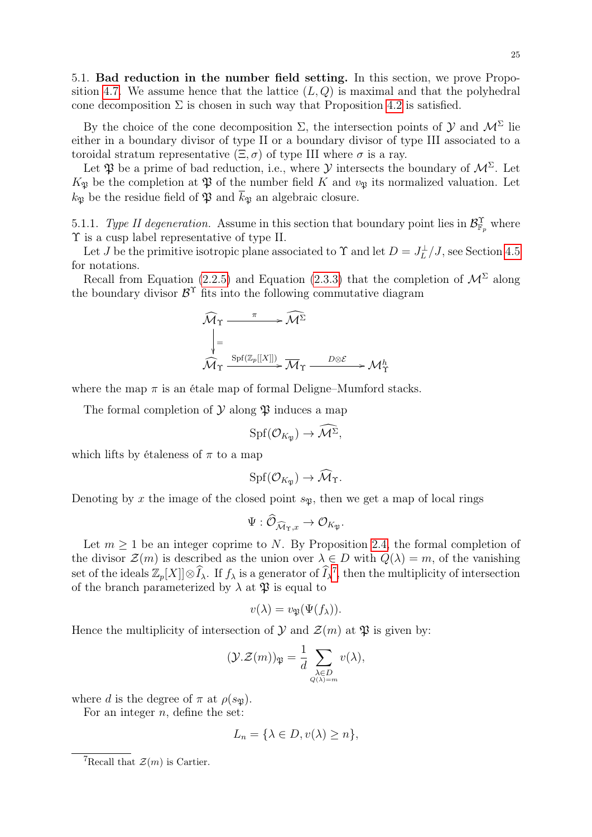5.1. Bad reduction in the number field setting. In this section, we prove Propo-sition [4.7.](#page-17-2) We assume hence that the lattice  $(L, Q)$  is maximal and that the polyhedral cone decomposition  $\Sigma$  is chosen in such way that Proposition [4.2](#page-15-3) is satisfied.

By the choice of the cone decomposition  $\Sigma$ , the intersection points of  $\mathcal Y$  and  $\mathcal M^{\Sigma}$  lie either in a boundary divisor of type II or a boundary divisor of type III associated to a toroidal stratum representative  $(\Xi, \sigma)$  of type III where  $\sigma$  is a ray.

Let  $\mathfrak P$  be a prime of bad reduction, i.e., where  $\mathcal Y$  intersects the boundary of  $\mathcal M^{\Sigma}$ . Let  $K_{\mathfrak{P}}$  be the completion at  $\mathfrak{P}$  of the number field K and  $v_{\mathfrak{P}}$  its normalized valuation. Let  $k_{\mathfrak{P}}$  be the residue field of  $\mathfrak{P}$  and  $\overline{k}_{\mathfrak{P}}$  an algebraic closure.

<span id="page-24-1"></span>5.1.1. Type II degeneration. Assume in this section that boundary point lies in  $\mathcal{B}_{\mathbb{F}_p}^{\Upsilon}$  where Υ is a cusp label representative of type II.

Let J be the primitive isotropic plane associated to  $\Upsilon$  and let  $D = J_L^{\perp}/J$ , see Section [4.5](#page-21-0) for notations.

Recall from Equation [\(2.2.5\)](#page-7-0) and Equation [\(2.3.3\)](#page-9-0) that the completion of  $\mathcal{M}^{\Sigma}$  along the boundary divisor  $\mathcal{B}^{\Upsilon}$  fits into the following commutative diagram

$$
\widehat{\mathcal{M}}_{\Upsilon} \xrightarrow{\pi} \widehat{\mathcal{M}^{\Sigma}}
$$
\n
$$
\downarrow = \underbrace{\downarrow}_{\widehat{\mathcal{M}}_{\Upsilon}} \underbrace{\text{Spf}(\mathbb{Z}_p[[X]])}_{\widehat{\mathcal{M}}_{\Upsilon}} \xrightarrow{D \otimes \mathcal{E}} \mathcal{M}^h_{\Upsilon}
$$

where the map  $\pi$  is an étale map of formal Deligne–Mumford stacks.

The formal completion of  $\mathcal Y$  along  $\mathfrak P$  induces a map

$$
\mathrm{Spf}(\mathcal{O}_{K_{\mathfrak{P}}}) \to \mathcal{M}^{\Sigma},
$$

which lifts by étaleness of  $\pi$  to a map

$$
Spf(\mathcal{O}_{K_{\mathfrak{P}}})\to \widehat{\mathcal{M}}_{\Upsilon}.
$$

Denoting by x the image of the closed point  $s_{\mathfrak{P}}$ , then we get a map of local rings

$$
\Psi: \widehat{\mathcal{O}}_{\widehat{\mathcal{M}}_{\Upsilon,x}} \to \mathcal{O}_{K_{\mathfrak{P}}}.
$$

Let  $m \geq 1$  be an integer coprime to N. By Proposition [2.4,](#page-12-1) the formal completion of the divisor  $\mathcal{Z}(m)$  is described as the union over  $\lambda \in D$  with  $Q(\lambda) = m$ , of the vanishing set of the ideals  $\mathbb{Z}_p[X] \otimes \widehat{I}_\lambda$ . If  $f_\lambda$  is a generator of  $\widehat{I}_\lambda^7$  $\widehat{I}_\lambda^7$ , then the multiplicity of intersection of the branch parameterized by  $\lambda$  at  $\mathfrak{P}$  is equal to

$$
v(\lambda) = v_{\mathfrak{P}}(\Psi(f_{\lambda})).
$$

Hence the multiplicity of intersection of  $\mathcal Y$  and  $\mathcal Z(m)$  at  $\mathfrak P$  is given by:

$$
(\mathcal{Y}.\mathcal{Z}(m))_{\mathfrak{P}} = \frac{1}{d} \sum_{\substack{\lambda \in D \\ Q(\lambda) = m}} v(\lambda),
$$

where d is the degree of  $\pi$  at  $\rho(s_{\mathfrak{B}})$ .

For an integer  $n$ , define the set:

$$
L_n = \{ \lambda \in D, v(\lambda) \ge n \},\
$$

<span id="page-24-0"></span><sup>&</sup>lt;sup>7</sup>Recall that  $\mathcal{Z}(m)$  is Cartier.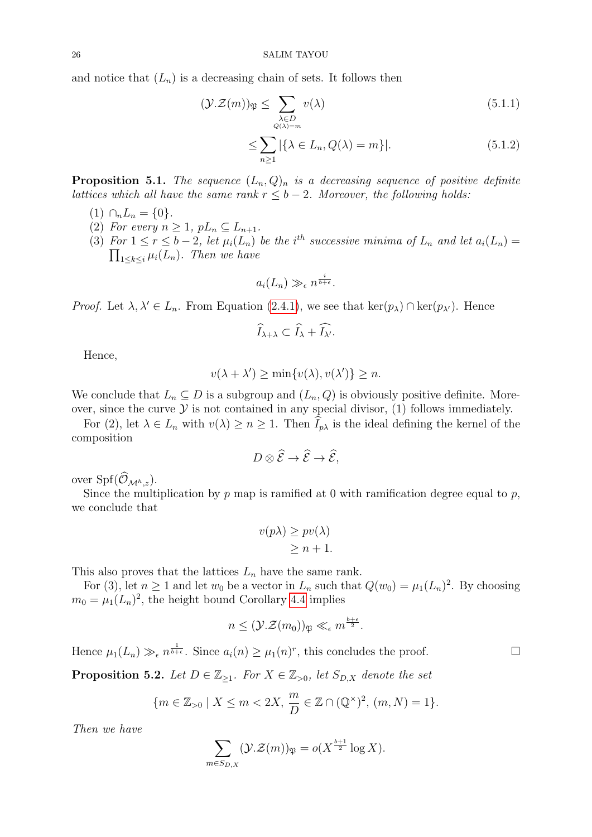and notice that  $(L_n)$  is a decreasing chain of sets. It follows then

$$
(\mathcal{Y}.\mathcal{Z}(m))\mathfrak{P} \le \sum_{\substack{\lambda \in D \\ Q(\lambda) = m}} v(\lambda) \tag{5.1.1}
$$

$$
\leq \sum_{n\geq 1} |\{\lambda \in L_n, Q(\lambda) = m\}|. \tag{5.1.2}
$$

<span id="page-25-0"></span>**Proposition 5.1.** The sequence  $(L_n, Q)_n$  is a decreasing sequence of positive definite lattices which all have the same rank  $r \leq b - 2$ . Moreover, the following holds:

- $(1)$   $\cap_n L_n = \{0\}.$
- (2) For every  $n \geq 1$ ,  $pL_n \subseteq L_{n+1}$ .
- (3) For  $1 \le r \le b-2$ , let  $\mu_i(L_n)$  be the i<sup>th</sup> successive minima of  $L_n$  and let  $a_i(L_n)$  $\prod_{1 \leq k \leq i} \mu_i(L_n)$ . Then we have

$$
a_i(L_n) \gg_{\epsilon} n^{\frac{i}{b+\epsilon}}.
$$

*Proof.* Let  $\lambda, \lambda' \in L_n$ . From Equation [\(2.4.1\)](#page-12-0), we see that ker( $p_\lambda$ ) ∩ ker( $p_{\lambda'}$ ). Hence

$$
\widehat{I}_{\lambda+\lambda}\subset \widehat{I}_{\lambda}+\widehat{I_{\lambda'}}.
$$

Hence,

$$
v(\lambda + \lambda') \ge \min\{v(\lambda), v(\lambda')\} \ge n.
$$

We conclude that  $L_n \subseteq D$  is a subgroup and  $(L_n, Q)$  is obviously positive definite. Moreover, since the curve  $\mathcal Y$  is not contained in any special divisor, (1) follows immediately.

For (2), let  $\lambda \in L_n$  with  $v(\lambda) \geq n \geq 1$ . Then  $\widehat{I}_{p\lambda}$  is the ideal defining the kernel of the composition

$$
D\otimes \widehat{\mathcal{E}}\to \widehat{\mathcal{E}}\to \widehat{\mathcal{E}},
$$

over  $\text{Spf}(\widehat{\mathcal{O}}_{\mathcal{M}^h,z}).$ 

Since the multiplication by  $p$  map is ramified at 0 with ramification degree equal to  $p$ , we conclude that

$$
v(p\lambda) \ge pv(\lambda)
$$
  

$$
\ge n+1.
$$

This also proves that the lattices  $L_n$  have the same rank.

For (3), let  $n \ge 1$  and let  $w_0$  be a vector in  $L_n$  such that  $Q(w_0) = \mu_1(L_n)^2$ . By choosing  $m_0 = \mu_1(L_n)^2$ , the height bound Corollary [4.4](#page-17-3) implies

$$
n \leq (\mathcal{Y}.\mathcal{Z}(m_0))_{\mathfrak{P}} \ll_{\epsilon} m^{\frac{b+\epsilon}{2}}.
$$

Hence  $\mu_1(L_n) \gg_{\epsilon} n^{\frac{1}{b+\epsilon}}$ . Since  $a_i(n) \geq \mu_1(n)^r$ , this concludes the proof.

<span id="page-25-1"></span>**Proposition 5.2.** Let  $D \in \mathbb{Z}_{\geq 1}$ . For  $X \in \mathbb{Z}_{\geq 0}$ , let  $S_{D,X}$  denote the set

$$
\{m \in \mathbb{Z}_{>0} \mid X \le m < 2X, \, \frac{m}{D} \in \mathbb{Z} \cap (\mathbb{Q}^{\times})^2, \, (m, N) = 1\}.
$$

Then we have

$$
\sum_{m \in S_{D,X}} (\mathcal{Y}.\mathcal{Z}(m))_{\mathfrak{P}} = o(X^{\frac{b+1}{2}} \log X).
$$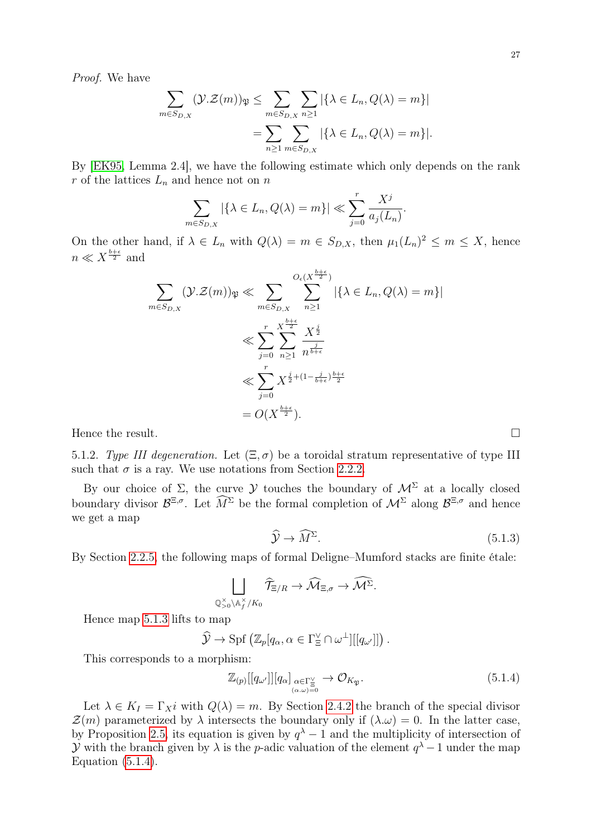Proof. We have

$$
\sum_{m \in S_{D,X}} (\mathcal{Y}.\mathcal{Z}(m))_{\mathfrak{P}} \leq \sum_{m \in S_{D,X}} \sum_{n \geq 1} |\{\lambda \in L_n, Q(\lambda) = m\}|
$$

$$
= \sum_{n \geq 1} \sum_{m \in S_{D,X}} |\{\lambda \in L_n, Q(\lambda) = m\}|.
$$

By [\[EK95,](#page-30-14) Lemma 2.4], we have the following estimate which only depends on the rank r of the lattices  $L_n$  and hence not on n

$$
\sum_{m \in S_{D,X}} |\{\lambda \in L_n, Q(\lambda) = m\}| \ll \sum_{j=0}^r \frac{X^j}{a_j(L_n)}.
$$

On the other hand, if  $\lambda \in L_n$  with  $Q(\lambda) = m \in S_{D,X}$ , then  $\mu_1(L_n)^2 \leq m \leq X$ , hence  $n \ll X^{\frac{b+\epsilon}{2}}$  and

$$
\sum_{m \in S_{D,X}} (\mathcal{Y}.\mathcal{Z}(m))_{\mathfrak{P}} \ll \sum_{m \in S_{D,X}} \sum_{n \ge 1}^{O_{\epsilon}(X^{\frac{b+\epsilon}{2}})} |\{\lambda \in L_n, Q(\lambda) = m\}|
$$
  

$$
\ll \sum_{j=0}^{r} \sum_{n \ge 1}^{X^{\frac{b+\epsilon}{2}}}\frac{X^{\frac{j}{2}}}{n^{\frac{j}{b+\epsilon}}}
$$
  

$$
\ll \sum_{j=0}^{r} X^{\frac{j}{2} + (1 - \frac{j}{b+\epsilon})\frac{b+\epsilon}{2}}
$$
  

$$
= O(X^{\frac{b+\epsilon}{2}}).
$$

Hence the result.  $\Box$ 

<span id="page-26-2"></span>5.1.2. Type III degeneration. Let  $(\Xi, \sigma)$  be a toroidal stratum representative of type III such that  $\sigma$  is a ray. We use notations from Section [2.2.2.](#page-5-1)

By our choice of  $\Sigma$ , the curve  $\mathcal Y$  touches the boundary of  $\mathcal M^{\Sigma}$  at a locally closed boundary divisor  $\mathcal{B}^{\Xi,\sigma}$ . Let  $\widehat{M}^{\Sigma}$  be the formal completion of  $\mathcal{M}^{\Sigma}$  along  $\mathcal{B}^{\Xi,\sigma}$  and hence we get a map

$$
\widehat{\mathcal{Y}} \to \widehat{M}^{\Sigma}.\tag{5.1.3}
$$

By Section [2.2.5,](#page-7-1) the following maps of formal Deligne–Mumford stacks are finite étale:

$$
\bigsqcup_{\mathbb{Q}_{>0}^{\times}\backslash\mathbb{A}_{f}^{\times}/K_{0}}\widehat{\mathcal{T}}_{\Xi/R}\rightarrow\widehat{\mathcal{M}}_{\Xi,\sigma}\rightarrow\widehat{\mathcal{M}^{\Sigma}}.
$$

Hence map [5.1.3](#page-26-0) lifts to map

$$
\widehat{\mathcal{Y}} \to \mathrm{Spf}\left(\mathbb{Z}_p[q_\alpha, \alpha \in \Gamma_{\Xi}^{\vee} \cap \omega^{\perp}][[q_{\omega'}]]\right).
$$

This corresponds to a morphism:

$$
\mathbb{Z}_{(p)}[[q_{\omega'}]][q_{\alpha}] \underset{(\alpha,\omega)=0}{\underset{\alpha\in\Gamma_{\Xi}^{\vee}}{\times}} \to \mathcal{O}_{K_{\mathfrak{P}}}.
$$
\n
$$
(5.1.4)
$$

Let  $\lambda \in K_I = \Gamma_X i$  with  $Q(\lambda) = m$ . By Section [2.4.2](#page-12-2) the branch of the special divisor  $\mathcal{Z}(m)$  parameterized by  $\lambda$  intersects the boundary only if  $(\lambda \omega) = 0$ . In the latter case, by Proposition [2.5,](#page-13-1) its equation is given by  $q^{\lambda}-1$  and the multiplicity of intersection of y with the branch given by  $\lambda$  is the p-adic valuation of the element  $q^{\lambda}-1$  under the map Equation  $(5.1.4)$ .

<span id="page-26-1"></span><span id="page-26-0"></span>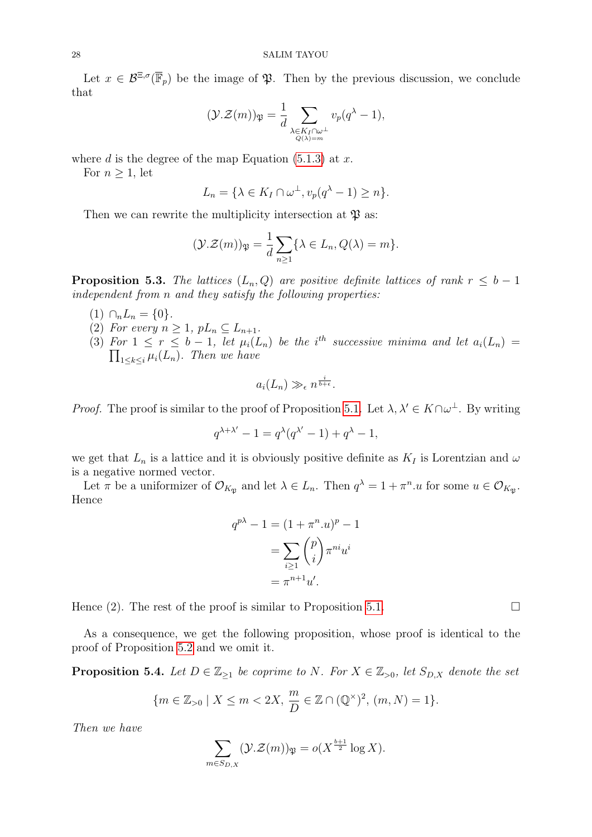Let  $x \in \mathcal{B}^{\Xi,\sigma}(\overline{\mathbb{F}}_p)$  be the image of  $\mathfrak{P}$ . Then by the previous discussion, we conclude that

$$
(\mathcal{Y}.\mathcal{Z}(m))_{\mathfrak{P}} = \frac{1}{d} \sum_{\substack{\lambda \in K_I \cap \omega^\perp \\ Q(\lambda) = m}} v_p(q^{\lambda} - 1),
$$

where d is the degree of the map Equation  $(5.1.3)$  at x.

For  $n \geq 1$ , let

$$
L_n = \{ \lambda \in K_I \cap \omega^{\perp}, v_p(q^{\lambda} - 1) \ge n \}.
$$

Then we can rewrite the multiplicity intersection at  $\mathfrak{P}$  as:

$$
(\mathcal{Y}.\mathcal{Z}(m))_{\mathfrak{P}} = \frac{1}{d} \sum_{n \geq 1} \{ \lambda \in L_n, Q(\lambda) = m \}.
$$

**Proposition 5.3.** The lattices  $(L_n, Q)$  are positive definite lattices of rank  $r \leq b - 1$ independent from n and they satisfy the following properties:

- (1)  $\cap_n L_n = \{0\}.$
- (2) For every  $n \geq 1$ ,  $pL_n \subseteq L_{n+1}$ .
- (3) For  $1 \leq r \leq b-1$ , let  $\mu_i(L_n)$  be the i<sup>th</sup> successive minima and let  $a_i(L_n)$  =  $\prod_{1\leq k\leq i}\mu_i(L_n)$ . Then we have

$$
a_i(L_n) \gg_{\epsilon} n^{\frac{i}{b+\epsilon}}.
$$

*Proof.* The proof is similar to the proof of Proposition [5.1.](#page-25-0) Let  $\lambda, \lambda' \in K \cap \omega^{\perp}$ . By writing

$$
q^{\lambda+\lambda'}-1=q^\lambda(q^{\lambda'}-1)+q^\lambda-1,
$$

we get that  $L_n$  is a lattice and it is obviously positive definite as  $K_I$  is Lorentzian and  $\omega$ is a negative normed vector.

Let  $\pi$  be a uniformizer of  $\mathcal{O}_{K_{\mathfrak{P}}}$  and let  $\lambda \in L_n$ . Then  $q^{\lambda} = 1 + \pi^n u$  for some  $u \in \mathcal{O}_{K_{\mathfrak{P}}}$ . Hence

$$
q^{p\lambda} - 1 = (1 + \pi^n u)^p - 1
$$

$$
= \sum_{i \ge 1} {p \choose i} \pi^{ni} u^i
$$

$$
= \pi^{n+1} u'.
$$

Hence (2). The rest of the proof is similar to Proposition [5.1.](#page-25-0)

As a consequence, we get the following proposition, whose proof is identical to the proof of Proposition [5.2](#page-25-1) and we omit it.

**Proposition 5.4.** Let  $D \in \mathbb{Z}_{\geq 1}$  be coprime to N. For  $X \in \mathbb{Z}_{> 0}$ , let  $S_{D,X}$  denote the set

$$
\{m \in \mathbb{Z}_{>0} \mid X \le m < 2X, \frac{m}{D} \in \mathbb{Z} \cap (\mathbb{Q}^{\times})^2, (m, N) = 1\}.
$$

Then we have

$$
\sum_{m \in S_{D,X}} (\mathcal{Y}.\mathcal{Z}(m))_{\mathfrak{P}} = o(X^{\frac{b+1}{2}} \log X).
$$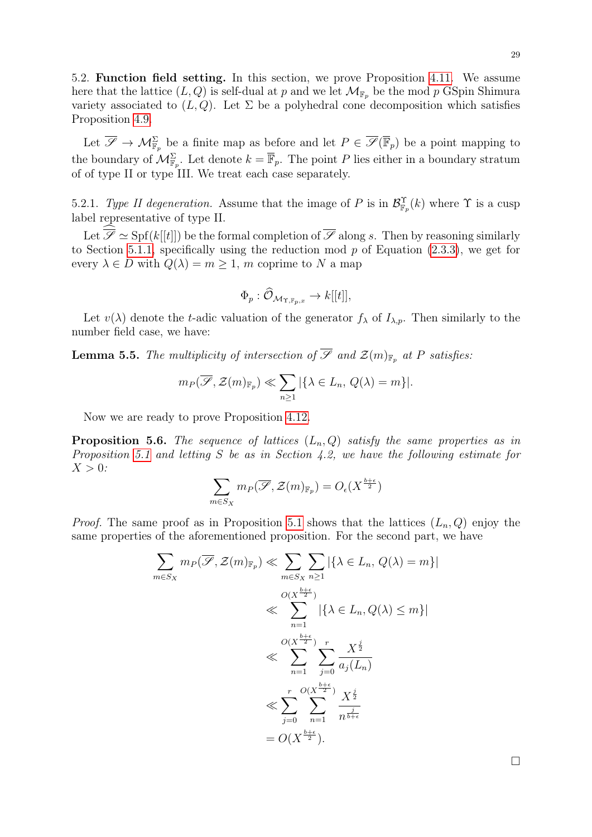5.2. Function field setting. In this section, we prove Proposition [4.11.](#page-19-1) We assume here that the lattice  $(L, Q)$  is self-dual at p and we let  $\mathcal{M}_{\mathbb{F}_p}$  be the mod p GSpin Shimura variety associated to  $(L, Q)$ . Let  $\Sigma$  be a polyhedral cone decomposition which satisfies Proposition [4.9.](#page-18-2)

Let  $\overline{\mathscr{S}} \to \mathcal{M}_{\mathbb{F}_p}^{\Sigma}$  be a finite map as before and let  $P \in \overline{\mathscr{S}}(\overline{\mathbb{F}}_p)$  be a point mapping to the boundary of  $\mathcal{M}_{\mathbb{F}_p}^{\Sigma}$ . Let denote  $k = \overline{\mathbb{F}}_p$ . The point P lies either in a boundary stratum of of type II or type III. We treat each case separately.

5.2.1. Type II degeneration. Assume that the image of P is in  $\mathcal{B}_{\mathbb{F}_p}^{\Upsilon}(k)$  where  $\Upsilon$  is a cusp label representative of type II.

Let  $\widehat{\mathscr{S}} \simeq Spf(k[[t]])$  be the formal completion of  $\overline{\mathscr{S}}$  along s. Then by reasoning similarly to Section [5.1.1,](#page-24-1) specifically using the reduction mod  $p$  of Equation [\(2.3.3\)](#page-9-0), we get for every  $\lambda \in D$  with  $Q(\lambda) = m \geq 1$ , m coprime to N a map

$$
\Phi_p: \widehat{\mathcal O}_{\mathcal M_{\Upsilon,\mathbb F_p,x}} \to k[[t]],
$$

Let  $v(\lambda)$  denote the t-adic valuation of the generator  $f_{\lambda}$  of  $I_{\lambda,p}$ . Then similarly to the number field case, we have:

**Lemma 5.5.** The multiplicity of intersection of  $\overline{\mathscr{S}}$  and  $\mathcal{Z}(m)_{\mathbb{F}_p}$  at P satisfies:

$$
m_P(\overline{\mathscr{S}}, \mathcal{Z}(m)_{\mathbb{F}_p}) \ll \sum_{n\geq 1} |\{\lambda \in L_n, Q(\lambda) = m\}|.
$$

Now we are ready to prove Proposition [4.12.](#page-19-2)

**Proposition 5.6.** The sequence of lattices  $(L_n, Q)$  satisfy the same properties as in Proposition [5.1](#page-25-0) and letting S be as in Section 4.2, we have the following estimate for  $X > 0$ :

$$
\sum_{m \in S_X} m_P(\overline{\mathscr{S}}, \mathcal{Z}(m)_{\mathbb{F}_p}) = O_{\epsilon}(X^{\frac{b+\epsilon}{2}})
$$

*Proof.* The same proof as in Proposition [5.1](#page-25-0) shows that the lattices  $(L_n, Q)$  enjoy the same properties of the aforementioned proposition. For the second part, we have

$$
\sum_{m \in S_X} m_P(\overline{\mathcal{S}}, \mathcal{Z}(m)_{\mathbb{F}_p}) \ll \sum_{m \in S_X} \sum_{n \ge 1} |\{\lambda \in L_n, Q(\lambda) = m\}|
$$
  

$$
\ll \sum_{n=1}^{O(X^{\frac{b+\epsilon}{2}})} |\{\lambda \in L_n, Q(\lambda) \le m\}|
$$
  

$$
\ll \sum_{n=1}^{O(X^{\frac{b+\epsilon}{2}})} \sum_{j=0}^r \frac{X^{\frac{j}{2}}}{a_j(L_n)}
$$
  

$$
\ll \sum_{j=0}^r \sum_{n=1}^{O(X^{\frac{b+\epsilon}{2}})} \frac{X^{\frac{j}{2}}}{n^{\frac{j}{b+\epsilon}}}
$$
  

$$
= O(X^{\frac{b+\epsilon}{2}}).
$$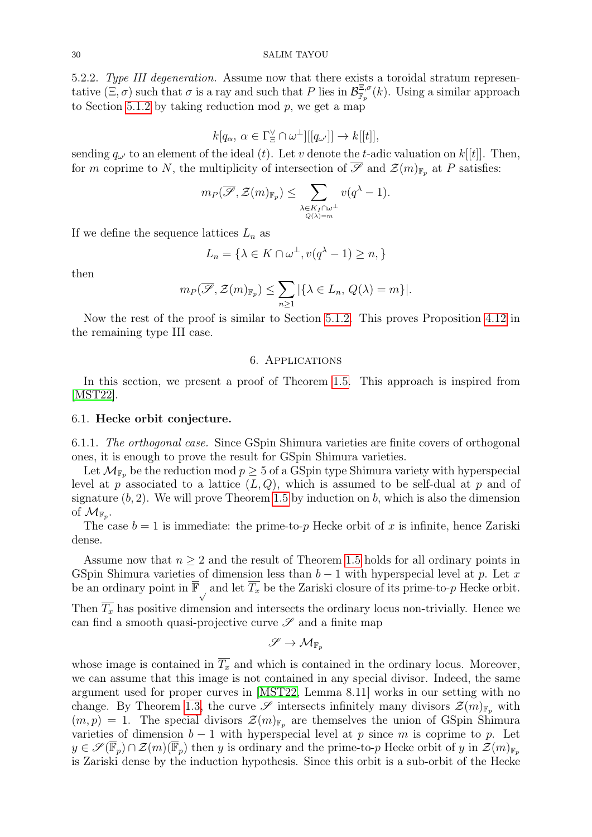5.2.2. Type III degeneration. Assume now that there exists a toroidal stratum representative  $(\Xi, \sigma)$  such that  $\sigma$  is a ray and such that P lies in  $\mathcal{B}_{\mathbb{F}_p}^{\Xi, \sigma}(k)$ . Using a similar approach to Section [5.1.2](#page-26-2) by taking reduction mod  $p$ , we get a map

$$
k[q_\alpha,\,\alpha\in\Gamma_\Xi^\vee\cap\omega^\perp][[q_{\omega'}]]\to k[[t]],
$$

sending  $q_{\omega'}$  to an element of the ideal (t). Let v denote the t-adic valuation on k[[t]]. Then, for m coprime to N, the multiplicity of intersection of  $\overline{\mathscr{S}}$  and  $\mathcal{Z}(m)_{\mathbb{F}_p}$  at P satisfies:

$$
m_P(\overline{\mathscr{S}}, \mathcal{Z}(m)_{\mathbb{F}_p}) \leq \sum_{\substack{\lambda \in K_I \cap \omega^\perp \\ Q(\lambda) = m}} v(q^{\lambda} - 1).
$$

If we define the sequence lattices  $L_n$  as

$$
L_n = \{ \lambda \in K \cap \omega^{\perp}, v(q^{\lambda} - 1) \ge n, \}
$$

then

$$
m_P(\overline{\mathscr{S}}, \mathcal{Z}(m)_{\mathbb{F}_p}) \leq \sum_{n \geq 1} |\{\lambda \in L_n, Q(\lambda) = m\}|.
$$

Now the rest of the proof is similar to Section [5.1.2.](#page-26-2) This proves Proposition [4.12](#page-19-2) in the remaining type III case.

## 6. Applications

<span id="page-29-0"></span>In this section, we present a proof of Theorem [1.5.](#page-1-1) This approach is inspired from [\[MST22\]](#page-31-3).

## 6.1. Hecke orbit conjecture.

6.1.1. The orthogonal case. Since GSpin Shimura varieties are finite covers of orthogonal ones, it is enough to prove the result for GSpin Shimura varieties.

Let  $\mathcal{M}_{\mathbb{F}_p}$  be the reduction mod  $p \geq 5$  of a GSpin type Shimura variety with hyperspecial level at p associated to a lattice  $(L, Q)$ , which is assumed to be self-dual at p and of signature  $(b, 2)$ . We will prove Theorem [1.5](#page-1-1) by induction on b, which is also the dimension of  $\mathcal{M}_{\mathbb{F}_p}$ .

The case  $b = 1$  is immediate: the prime-to-p Hecke orbit of x is infinite, hence Zariski dense.

Assume now that  $n \geq 2$  and the result of Theorem [1.5](#page-1-1) holds for all ordinary points in GSpin Shimura varieties of dimension less than  $b - 1$  with hyperspecial level at p. Let x be an ordinary point in  $\overline{\mathbb{F}}$ , and let  $\overline{T_x}$  be the Zariski closure of its prime-to-p Hecke orbit. Then  $T_x$  has positive dimension and intersects the ordinary locus non-trivially. Hence we can find a smooth quasi-projective curve  $\mathscr S$  and a finite map

$$
\mathscr{S}\to \mathcal{M}_{\mathbb{F}_p}
$$

whose image is contained in  $\overline{T_x}$  and which is contained in the ordinary locus. Moreover, we can assume that this image is not contained in any special divisor. Indeed, the same argument used for proper curves in [\[MST22,](#page-31-3) Lemma 8.11] works in our setting with no change. By Theorem [1.3,](#page-1-0) the curve  $\mathscr S$  intersects infinitely many divisors  $\mathcal Z(m)_{\mathbb F_p}$  with  $(m, p) = 1$ . The special divisors  $\mathcal{Z}(m)_{\mathbb{F}_p}$  are themselves the union of GSpin Shimura varieties of dimension  $b-1$  with hyperspecial level at p since m is coprime to p. Let  $y \in \mathscr{S}(\mathbb{F}_p) \cap \mathcal{Z}(m)(\overline{\mathbb{F}}_p)$  then y is ordinary and the prime-to-p Hecke orbit of y in  $\mathcal{Z}(m)_{\mathbb{F}_p}$ is Zariski dense by the induction hypothesis. Since this orbit is a sub-orbit of the Hecke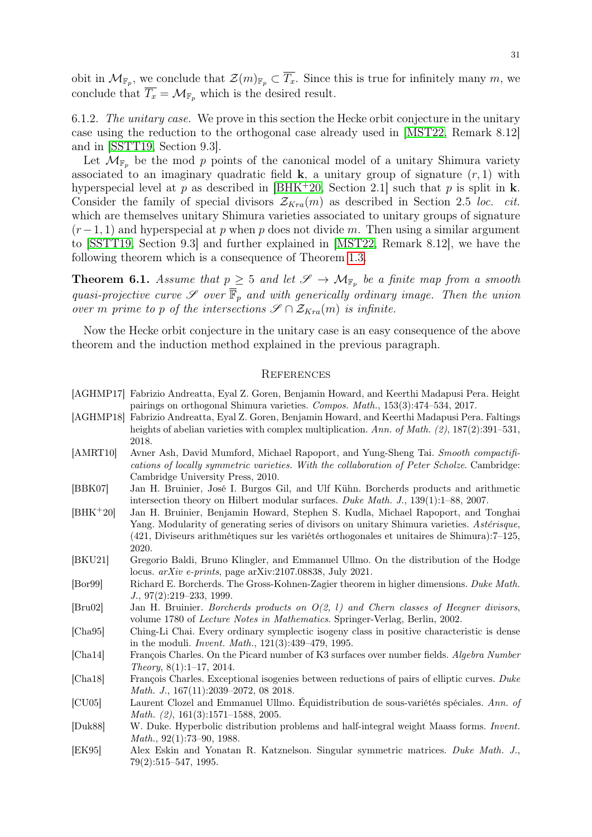obit in  $\mathcal{M}_{\mathbb{F}_p}$ , we conclude that  $\mathcal{Z}(m)_{\mathbb{F}_p} \subset T_x$ . Since this is true for infinitely many m, we conclude that  $\overline{T_x} = \mathcal{M}_{\mathbb{F}_p}$  which is the desired result.

6.1.2. The unitary case. We prove in this section the Hecke orbit conjecture in the unitary case using the reduction to the orthogonal case already used in [\[MST22,](#page-31-3) Remark 8.12] and in [\[SSTT19,](#page-31-2) Section 9.3].

Let  $\mathcal{M}_{\mathbb{F}_p}$  be the mod p points of the canonical model of a unitary Shimura variety associated to an imaginary quadratic field  $\bf{k}$ , a unitary group of signature  $(r, 1)$  with hyperspecial level at p as described in  $[BHK^+20,$  $[BHK^+20,$  Section 2.1] such that p is split in k. Consider the family of special divisors  $\mathcal{Z}_{Kra}(m)$  as described in Section 2.5 loc. cit. which are themselves unitary Shimura varieties associated to unitary groups of signature  $(r-1, 1)$  and hyperspecial at p when p does not divide m. Then using a similar argument to [\[SSTT19,](#page-31-2) Section 9.3] and further explained in [\[MST22,](#page-31-3) Remark 8.12], we have the following theorem which is a consequence of Theorem [1.3.](#page-1-0)

<span id="page-30-2"></span>**Theorem 6.1.** Assume that  $p \geq 5$  and let  $\mathscr{S} \to \mathcal{M}_{\mathbb{F}_p}$  be a finite map from a smooth quasi-projective curve  $\mathscr S$  over  $\overline{\mathbb F}_p$  and with generically ordinary image. Then the union over m prime to p of the intersections  $\mathscr{S} \cap \mathcal{Z}_{Kra}(m)$  is infinite.

Now the Hecke orbit conjecture in the unitary case is an easy consequence of the above theorem and the induction method explained in the previous paragraph.

## <span id="page-30-0"></span>**REFERENCES**

- <span id="page-30-12"></span>[AGHMP17] Fabrizio Andreatta, Eyal Z. Goren, Benjamin Howard, and Keerthi Madapusi Pera. Height pairings on orthogonal Shimura varieties. Compos. Math., 153(3):474–534, 2017.
- <span id="page-30-11"></span>[AGHMP18] Fabrizio Andreatta, Eyal Z. Goren, Benjamin Howard, and Keerthi Madapusi Pera. Faltings heights of abelian varieties with complex multiplication. Ann. of Math. (2), 187(2):391–531, 2018.
- <span id="page-30-13"></span>[AMRT10] Avner Ash, David Mumford, Michael Rapoport, and Yung-Sheng Tai. Smooth compactifications of locally symmetric varieties. With the collaboration of Peter Scholze. Cambridge: Cambridge University Press, 2010.
- <span id="page-30-7"></span>[BBK07] Jan H. Bruinier, José I. Burgos Gil, and Ulf Kühn. Borcherds products and arithmetic intersection theory on Hilbert modular surfaces. Duke Math. J., 139(1):1–88, 2007.
- <span id="page-30-15"></span>[BHK<sup>+</sup>20] Jan H. Bruinier, Benjamin Howard, Stephen S. Kudla, Michael Rapoport, and Tonghai Yang. Modularity of generating series of divisors on unitary Shimura varieties. Astérisque, (421, Diviseurs arithmétiques sur les variétés orthogonales et unitaires de Shimura):7–125, 2020.
- <span id="page-30-3"></span>[BKU21] Gregorio Baldi, Bruno Klingler, and Emmanuel Ullmo. On the distribution of the Hodge locus. arXiv e-prints, page arXiv:2107.08838, July 2021.
- <span id="page-30-10"></span>[Bor99] Richard E. Borcherds. The Gross-Kohnen-Zagier theorem in higher dimensions. Duke Math. J., 97(2):219–233, 1999.
- <span id="page-30-8"></span>[Bru02] Jan H. Bruinier. Borcherds products on O(2, l) and Chern classes of Heegner divisors, volume 1780 of Lecture Notes in Mathematics. Springer-Verlag, Berlin, 2002.
- <span id="page-30-5"></span>[Cha95] Ching-Li Chai. Every ordinary symplectic isogeny class in positive characteristic is dense in the moduli. Invent. Math., 121(3):439–479, 1995.
- <span id="page-30-1"></span>[Cha14] François Charles. On the Picard number of K3 surfaces over number fields. Algebra Number Theory, 8(1):1–17, 2014.
- <span id="page-30-6"></span>[Cha18] François Charles. Exceptional isogenies between reductions of pairs of elliptic curves. Duke Math. J., 167(11):2039-2072, 08 2018.
- <span id="page-30-4"></span>[CU05] Laurent Clozel and Emmanuel Ullmo. Équidistribution de sous-variétés spéciales. Ann. of Math. (2), 161(3):1571–1588, 2005.
- <span id="page-30-9"></span>[Duk88] W. Duke. Hyperbolic distribution problems and half-integral weight Maass forms. Invent. Math., 92(1):73–90, 1988.
- <span id="page-30-14"></span>[EK95] Alex Eskin and Yonatan R. Katznelson. Singular symmetric matrices. Duke Math. J., 79(2):515–547, 1995.